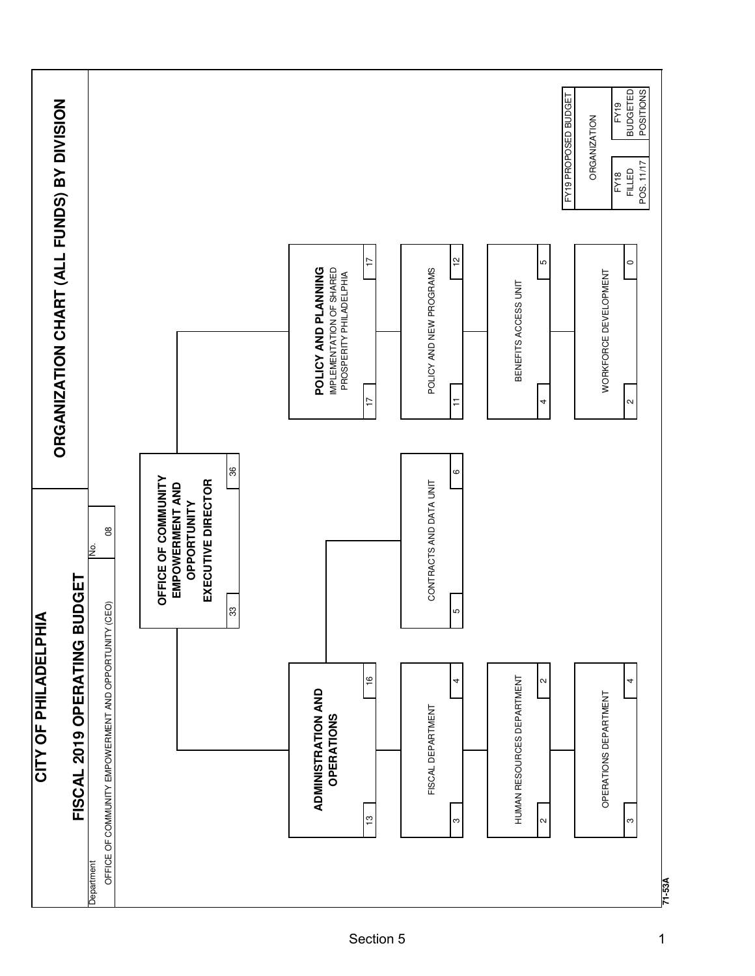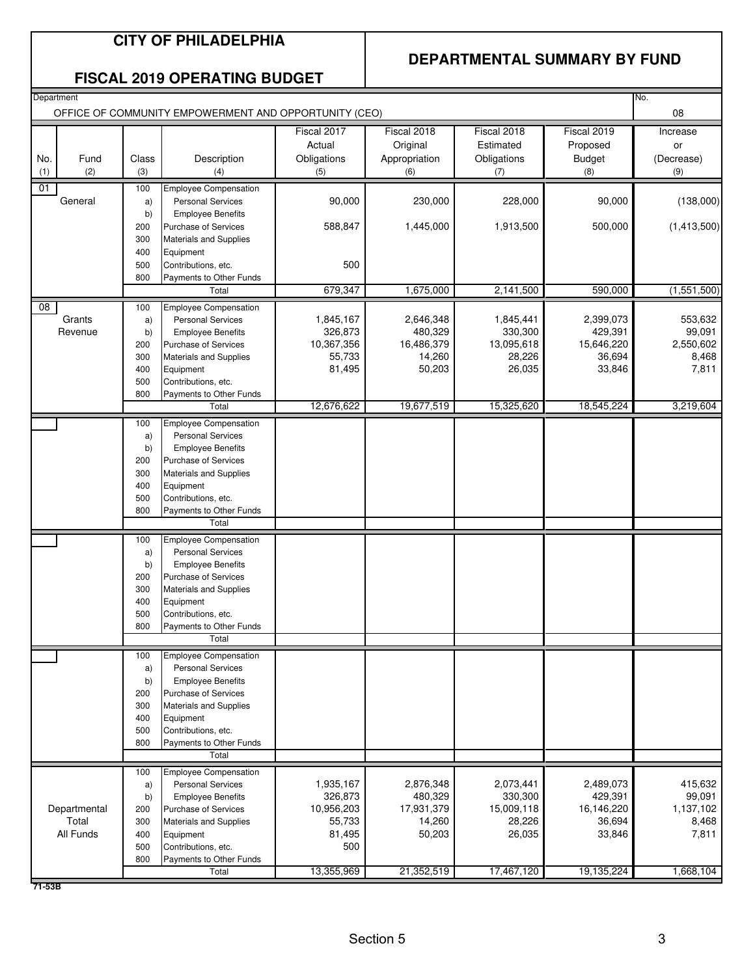#### **CITY OF PHILADELPHIA**

#### **DEPARTMENTAL SUMMARY BY FUND**

#### **FISCAL 2019 OPERATING BUDGET**

| Department<br>No.<br>OFFICE OF COMMUNITY EMPOWERMENT AND OPPORTUNITY (CEO) |              |            |                                                          |                       |                       |                       |                       |                     |  |
|----------------------------------------------------------------------------|--------------|------------|----------------------------------------------------------|-----------------------|-----------------------|-----------------------|-----------------------|---------------------|--|
|                                                                            |              |            |                                                          | Fiscal 2017           | Fiscal 2018           | Fiscal 2018           | Fiscal 2019           | Increase            |  |
|                                                                            |              |            |                                                          | Actual                | Original              | Estimated             | Proposed              | or                  |  |
| No.                                                                        | Fund         | Class      | Description                                              | Obligations           | Appropriation         | Obligations           | <b>Budget</b>         | (Decrease)          |  |
| (1)                                                                        | (2)          | (3)        | (4)                                                      | (5)                   | (6)                   | (7)                   | (8)                   | (9)                 |  |
| 01                                                                         |              | 100        | <b>Employee Compensation</b>                             |                       |                       |                       |                       |                     |  |
|                                                                            | General      | a)         | <b>Personal Services</b>                                 | 90,000                | 230,000               | 228,000               | 90,000                | (138,000)           |  |
|                                                                            |              | b)         | <b>Employee Benefits</b>                                 |                       |                       |                       |                       |                     |  |
|                                                                            |              | 200        | <b>Purchase of Services</b>                              | 588,847               | 1,445,000             | 1,913,500             | 500,000               | (1,413,500)         |  |
|                                                                            |              | 300        | <b>Materials and Supplies</b>                            |                       |                       |                       |                       |                     |  |
|                                                                            |              | 400        | Equipment                                                |                       |                       |                       |                       |                     |  |
|                                                                            |              | 500        | Contributions, etc.                                      | 500                   |                       |                       |                       |                     |  |
|                                                                            |              | 800        | Payments to Other Funds                                  |                       |                       |                       |                       |                     |  |
|                                                                            |              |            | Total                                                    | 679,347               | 1,675,000             | 2,141,500             | 590,000               | (1,551,500)         |  |
| 08                                                                         |              | 100        | <b>Employee Compensation</b>                             |                       |                       |                       |                       |                     |  |
|                                                                            | Grants       | a)         | <b>Personal Services</b>                                 | 1,845,167             | 2,646,348             | 1,845,441             | 2,399,073             | 553,632             |  |
|                                                                            | Revenue      | b)<br>200  | <b>Employee Benefits</b><br>Purchase of Services         | 326,873<br>10,367,356 | 480,329<br>16,486,379 | 330,300<br>13,095,618 | 429,391<br>15,646,220 | 99,091<br>2,550,602 |  |
|                                                                            |              | 300        | <b>Materials and Supplies</b>                            | 55,733                | 14,260                | 28,226                | 36,694                | 8,468               |  |
|                                                                            |              | 400        | Equipment                                                | 81,495                | 50,203                | 26,035                | 33,846                | 7,811               |  |
|                                                                            |              | 500        | Contributions, etc.                                      |                       |                       |                       |                       |                     |  |
|                                                                            |              | 800        | Payments to Other Funds                                  |                       |                       |                       |                       |                     |  |
|                                                                            |              |            | Total                                                    | 12,676,622            | 19,677,519            | 15,325,620            | 18,545,224            | 3,219,604           |  |
|                                                                            |              | 100        | <b>Employee Compensation</b>                             |                       |                       |                       |                       |                     |  |
|                                                                            |              | a)         | <b>Personal Services</b>                                 |                       |                       |                       |                       |                     |  |
|                                                                            |              | b)         | <b>Employee Benefits</b>                                 |                       |                       |                       |                       |                     |  |
|                                                                            |              | 200        | <b>Purchase of Services</b>                              |                       |                       |                       |                       |                     |  |
|                                                                            |              | 300        | <b>Materials and Supplies</b>                            |                       |                       |                       |                       |                     |  |
|                                                                            |              | 400        | Equipment                                                |                       |                       |                       |                       |                     |  |
|                                                                            |              | 500        | Contributions, etc.                                      |                       |                       |                       |                       |                     |  |
|                                                                            |              | 800        | Payments to Other Funds<br>Total                         |                       |                       |                       |                       |                     |  |
|                                                                            |              |            |                                                          |                       |                       |                       |                       |                     |  |
|                                                                            |              | 100        | <b>Employee Compensation</b><br><b>Personal Services</b> |                       |                       |                       |                       |                     |  |
|                                                                            |              | a)<br>b)   | <b>Employee Benefits</b>                                 |                       |                       |                       |                       |                     |  |
|                                                                            |              | 200        | Purchase of Services                                     |                       |                       |                       |                       |                     |  |
|                                                                            |              | 300        | <b>Materials and Supplies</b>                            |                       |                       |                       |                       |                     |  |
|                                                                            |              | 400        | Equipment                                                |                       |                       |                       |                       |                     |  |
|                                                                            |              | 500        | Contributions, etc.                                      |                       |                       |                       |                       |                     |  |
|                                                                            |              | 800        | Payments to Other Funds                                  |                       |                       |                       |                       |                     |  |
|                                                                            |              |            | Total                                                    |                       |                       |                       |                       |                     |  |
|                                                                            |              | 100        | <b>Employee Compensation</b>                             |                       |                       |                       |                       |                     |  |
|                                                                            |              | a)         | <b>Personal Services</b>                                 |                       |                       |                       |                       |                     |  |
|                                                                            |              | b)         | <b>Employee Benefits</b>                                 |                       |                       |                       |                       |                     |  |
|                                                                            |              | 200        | Purchase of Services                                     |                       |                       |                       |                       |                     |  |
|                                                                            |              | 300<br>400 | <b>Materials and Supplies</b><br>Equipment               |                       |                       |                       |                       |                     |  |
|                                                                            |              | 500        | Contributions, etc.                                      |                       |                       |                       |                       |                     |  |
|                                                                            |              | 800        | Payments to Other Funds                                  |                       |                       |                       |                       |                     |  |
|                                                                            |              |            | Total                                                    |                       |                       |                       |                       |                     |  |
|                                                                            |              | 100        | <b>Employee Compensation</b>                             |                       |                       |                       |                       |                     |  |
|                                                                            |              | a)         | <b>Personal Services</b>                                 | 1,935,167             | 2,876,348             | 2,073,441             | 2,489,073             | 415,632             |  |
|                                                                            |              | b)         | <b>Employee Benefits</b>                                 | 326,873               | 480,329               | 330,300               | 429,391               | 99,091              |  |
|                                                                            | Departmental | 200        | Purchase of Services                                     | 10,956,203            | 17,931,379            | 15,009,118            | 16,146,220            | 1,137,102           |  |
|                                                                            | Total        | 300        | Materials and Supplies                                   | 55,733                | 14,260                | 28,226                | 36,694                | 8,468               |  |
|                                                                            | All Funds    | 400        | Equipment                                                | 81,495                | 50,203                | 26,035                | 33,846                | 7,811               |  |
|                                                                            |              | 500        | Contributions, etc.                                      | 500                   |                       |                       |                       |                     |  |
|                                                                            |              | 800        | Payments to Other Funds<br>Total                         | 13,355,969            | 21,352,519            | 17,467,120            | 19,135,224            | 1,668,104           |  |
| 71-53B                                                                     |              |            |                                                          |                       |                       |                       |                       |                     |  |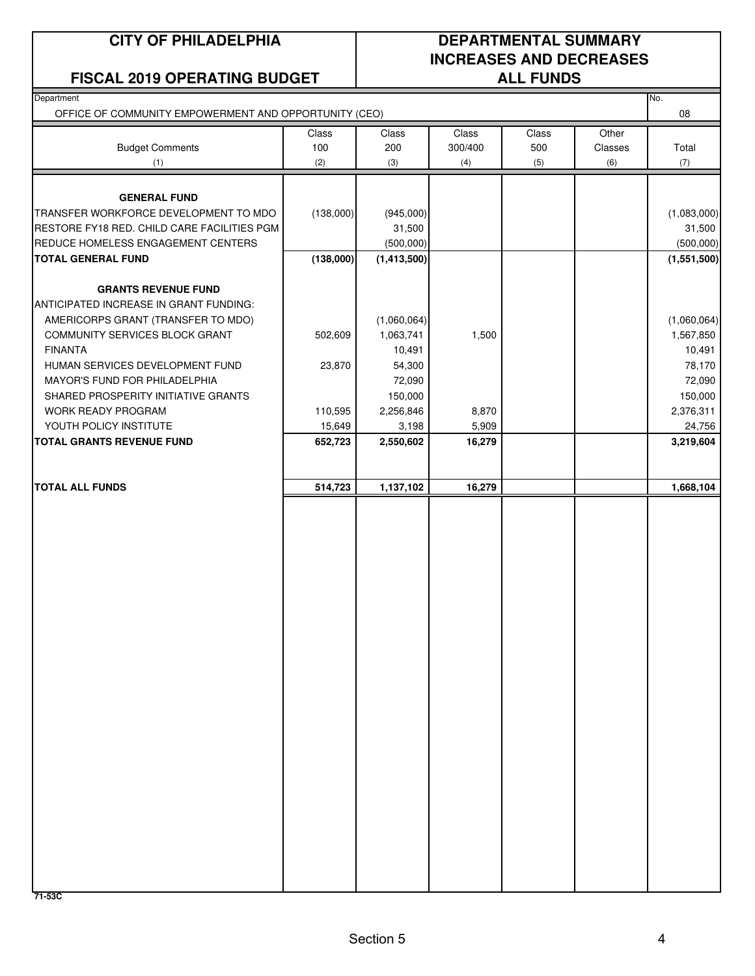#### **FISCAL 2019 OPERATING BUDGET**

### **CITY OF PHILADELPHIA DEPARTMENTAL SUMMARY INCREASES AND DECREASES**

| Department<br>OFFICE OF COMMUNITY EMPOWERMENT AND OPPORTUNITY (CEO) |                      |               |         |       |         | No.<br>08   |
|---------------------------------------------------------------------|----------------------|---------------|---------|-------|---------|-------------|
|                                                                     | Class                | Class         | Class   | Class | Other   |             |
| <b>Budget Comments</b>                                              | 100                  | 200           | 300/400 | 500   | Classes | Total       |
| (1)                                                                 | (2)                  | (3)           | (4)     | (5)   | (6)     | (7)         |
|                                                                     |                      |               |         |       |         |             |
| <b>GENERAL FUND</b>                                                 |                      |               |         |       |         |             |
| TRANSFER WORKFORCE DEVELOPMENT TO MDO                               | (138,000)            | (945,000)     |         |       |         | (1,083,000) |
| RESTORE FY18 RED. CHILD CARE FACILITIES PGM                         |                      | 31,500        |         |       |         | 31,500      |
| REDUCE HOMELESS ENGAGEMENT CENTERS                                  |                      | (500,000)     |         |       |         | (500,000)   |
| <b>TOTAL GENERAL FUND</b>                                           | (138,000)            | (1, 413, 500) |         |       |         | (1,551,500) |
| <b>GRANTS REVENUE FUND</b>                                          |                      |               |         |       |         |             |
| ANTICIPATED INCREASE IN GRANT FUNDING:                              |                      |               |         |       |         |             |
| AMERICORPS GRANT (TRANSFER TO MDO)                                  |                      | (1,060,064)   |         |       |         | (1,060,064) |
| COMMUNITY SERVICES BLOCK GRANT                                      | 502,609              | 1,063,741     | 1,500   |       |         | 1,567,850   |
| <b>FINANTA</b>                                                      |                      | 10,491        |         |       |         | 10,491      |
| HUMAN SERVICES DEVELOPMENT FUND                                     | 23,870               | 54,300        |         |       |         | 78,170      |
| MAYOR'S FUND FOR PHILADELPHIA                                       |                      | 72,090        |         |       |         | 72,090      |
| SHARED PROSPERITY INITIATIVE GRANTS                                 |                      | 150,000       |         |       |         | 150,000     |
| WORK READY PROGRAM                                                  | 110,595              | 2,256,846     | 8,870   |       |         | 2,376,311   |
| YOUTH POLICY INSTITUTE                                              | 15,649               | 3,198         | 5,909   |       |         | 24,756      |
| <b>TOTAL GRANTS REVENUE FUND</b>                                    | 652,723              | 2,550,602     | 16,279  |       |         | 3,219,604   |
|                                                                     |                      |               |         |       |         |             |
| <b>TOTAL ALL FUNDS</b>                                              | $\overline{514,723}$ | 1,137,102     | 16,279  |       |         | 1,668,104   |
|                                                                     |                      |               |         |       |         |             |
|                                                                     |                      |               |         |       |         |             |
|                                                                     |                      |               |         |       |         |             |
|                                                                     |                      |               |         |       |         |             |
|                                                                     |                      |               |         |       |         |             |
|                                                                     |                      |               |         |       |         |             |
|                                                                     |                      |               |         |       |         |             |
|                                                                     |                      |               |         |       |         |             |
|                                                                     |                      |               |         |       |         |             |
|                                                                     |                      |               |         |       |         |             |
|                                                                     |                      |               |         |       |         |             |
|                                                                     |                      |               |         |       |         |             |
|                                                                     |                      |               |         |       |         |             |
|                                                                     |                      |               |         |       |         |             |
|                                                                     |                      |               |         |       |         |             |
|                                                                     |                      |               |         |       |         |             |
|                                                                     |                      |               |         |       |         |             |
|                                                                     |                      |               |         |       |         |             |
|                                                                     |                      |               |         |       |         |             |
|                                                                     |                      |               |         |       |         |             |
|                                                                     |                      |               |         |       |         |             |
|                                                                     |                      |               |         |       |         |             |
|                                                                     |                      |               |         |       |         |             |
|                                                                     |                      |               |         |       |         |             |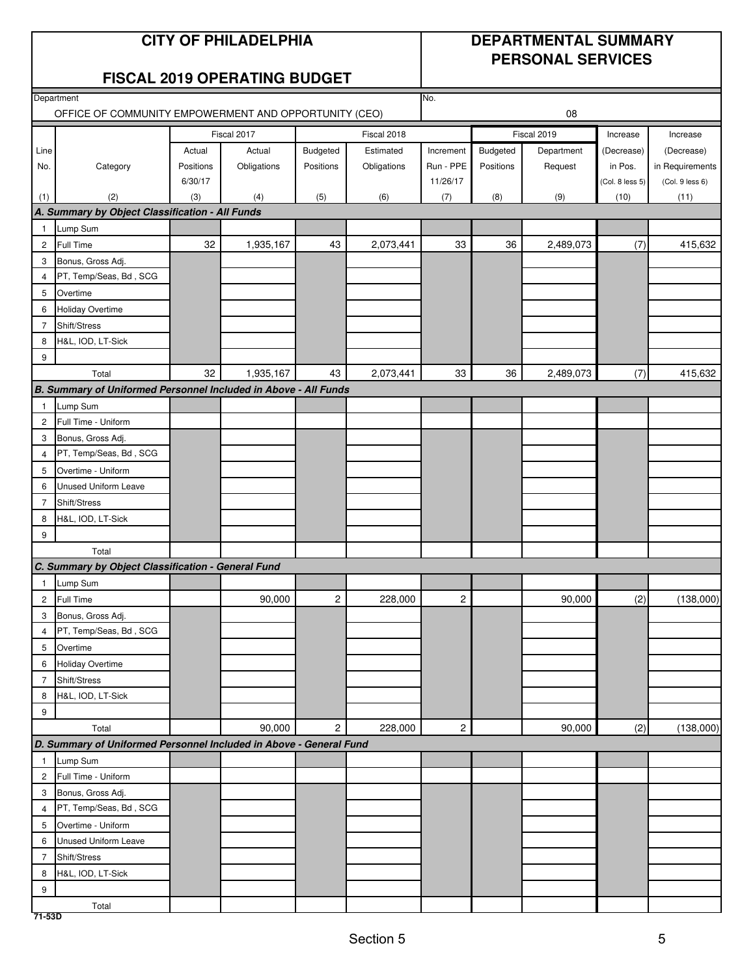#### **CITY OF PHILADELPHIA DEPARTMENTAL SUMMARY**

## **PERSONAL SERVICES**

#### **FISCAL 2019 OPERATING BUDGET**

|                | Department                                                         |           |             |                         | No.         |                |           |             |                 |                 |  |
|----------------|--------------------------------------------------------------------|-----------|-------------|-------------------------|-------------|----------------|-----------|-------------|-----------------|-----------------|--|
|                | OFFICE OF COMMUNITY EMPOWERMENT AND OPPORTUNITY (CEO)              |           |             |                         |             | 08             |           |             |                 |                 |  |
|                |                                                                    |           | Fiscal 2017 |                         | Fiscal 2018 |                |           | Fiscal 2019 | Increase        | Increase        |  |
| Line           |                                                                    | Actual    | Actual      | Budgeted                | Estimated   | Increment      | Budgeted  | Department  | (Decrease)      | (Decrease)      |  |
| No.            | Category                                                           | Positions | Obligations | Positions               | Obligations | Run - PPE      | Positions | Request     | in Pos.         | in Requirements |  |
|                |                                                                    | 6/30/17   |             |                         |             | 11/26/17       |           |             | (Col. 8 less 5) | (Col. 9 less 6) |  |
| (1)            | (2)                                                                | (3)       | (4)         | (5)                     | (6)         | (7)            | (8)       | (9)         | (10)            | (11)            |  |
|                | A. Summary by Object Classification - All Funds                    |           |             |                         |             |                |           |             |                 |                 |  |
| $\mathbf{1}$   | Lump Sum                                                           |           |             |                         |             |                |           |             |                 |                 |  |
| $\mathbf{2}$   | Full Time                                                          | 32        | 1,935,167   | 43                      | 2,073,441   | 33             | 36        | 2,489,073   | (7)             | 415,632         |  |
| 3              | Bonus, Gross Adj.                                                  |           |             |                         |             |                |           |             |                 |                 |  |
| 4              | PT, Temp/Seas, Bd, SCG                                             |           |             |                         |             |                |           |             |                 |                 |  |
| 5              | Overtime                                                           |           |             |                         |             |                |           |             |                 |                 |  |
| 6              | Holiday Overtime                                                   |           |             |                         |             |                |           |             |                 |                 |  |
| $\overline{7}$ | Shift/Stress                                                       |           |             |                         |             |                |           |             |                 |                 |  |
| 8              | H&L, IOD, LT-Sick                                                  |           |             |                         |             |                |           |             |                 |                 |  |
| 9              |                                                                    |           |             |                         |             |                |           |             |                 |                 |  |
|                | Total                                                              | 32        | 1,935,167   | 43                      | 2,073,441   | 33             | 36        | 2,489,073   | (7)             | 415,632         |  |
|                | B. Summary of Uniformed Personnel Included in Above - All Funds    |           |             |                         |             |                |           |             |                 |                 |  |
| $\mathbf{1}$   | Lump Sum                                                           |           |             |                         |             |                |           |             |                 |                 |  |
| $\overline{2}$ | Full Time - Uniform                                                |           |             |                         |             |                |           |             |                 |                 |  |
| 3              | Bonus, Gross Adj.                                                  |           |             |                         |             |                |           |             |                 |                 |  |
| $\overline{4}$ | PT, Temp/Seas, Bd, SCG                                             |           |             |                         |             |                |           |             |                 |                 |  |
| 5              | Overtime - Uniform                                                 |           |             |                         |             |                |           |             |                 |                 |  |
| 6              | Unused Uniform Leave                                               |           |             |                         |             |                |           |             |                 |                 |  |
| $\overline{7}$ | Shift/Stress                                                       |           |             |                         |             |                |           |             |                 |                 |  |
| 8              | H&L, IOD, LT-Sick                                                  |           |             |                         |             |                |           |             |                 |                 |  |
| 9              |                                                                    |           |             |                         |             |                |           |             |                 |                 |  |
|                | Total                                                              |           |             |                         |             |                |           |             |                 |                 |  |
|                | C. Summary by Object Classification - General Fund                 |           |             |                         |             |                |           |             |                 |                 |  |
| $\mathbf{1}$   | Lump Sum                                                           |           |             |                         |             |                |           |             |                 |                 |  |
| $\mathbf{2}$   | Full Time                                                          |           | 90,000      | $\overline{\mathbf{c}}$ | 228,000     | 2              |           | 90,000      | (2)             | (138,000)       |  |
| 3              | Bonus, Gross Adj.                                                  |           |             |                         |             |                |           |             |                 |                 |  |
| 4              | PT, Temp/Seas, Bd, SCG                                             |           |             |                         |             |                |           |             |                 |                 |  |
| 5              | Overtime                                                           |           |             |                         |             |                |           |             |                 |                 |  |
|                | 6 Holiday Overtime                                                 |           |             |                         |             |                |           |             |                 |                 |  |
| $7^{\circ}$    | Shift/Stress                                                       |           |             |                         |             |                |           |             |                 |                 |  |
| 8              | H&L, IOD, LT-Sick                                                  |           |             |                         |             |                |           |             |                 |                 |  |
| 9              |                                                                    |           |             |                         |             |                |           |             |                 |                 |  |
|                | Total                                                              |           | 90,000      | $\mathbf{2}$            | 228,000     | $\overline{c}$ |           | 90,000      | (2)             | (138,000)       |  |
|                | D. Summary of Uniformed Personnel Included in Above - General Fund |           |             |                         |             |                |           |             |                 |                 |  |
| $\mathbf{1}$   | Lump Sum                                                           |           |             |                         |             |                |           |             |                 |                 |  |
|                | 2 Full Time - Uniform                                              |           |             |                         |             |                |           |             |                 |                 |  |
| 3              | Bonus, Gross Adj.                                                  |           |             |                         |             |                |           |             |                 |                 |  |
| $\overline{4}$ | PT, Temp/Seas, Bd, SCG                                             |           |             |                         |             |                |           |             |                 |                 |  |
| 5              | Overtime - Uniform                                                 |           |             |                         |             |                |           |             |                 |                 |  |
| 6              | <b>Unused Uniform Leave</b>                                        |           |             |                         |             |                |           |             |                 |                 |  |
| $\overline{7}$ | Shift/Stress                                                       |           |             |                         |             |                |           |             |                 |                 |  |
| 8              | H&L, IOD, LT-Sick                                                  |           |             |                         |             |                |           |             |                 |                 |  |
| 9              |                                                                    |           |             |                         |             |                |           |             |                 |                 |  |
|                | Total                                                              |           |             |                         |             |                |           |             |                 |                 |  |
| 71-53D         |                                                                    |           |             |                         |             |                |           |             |                 |                 |  |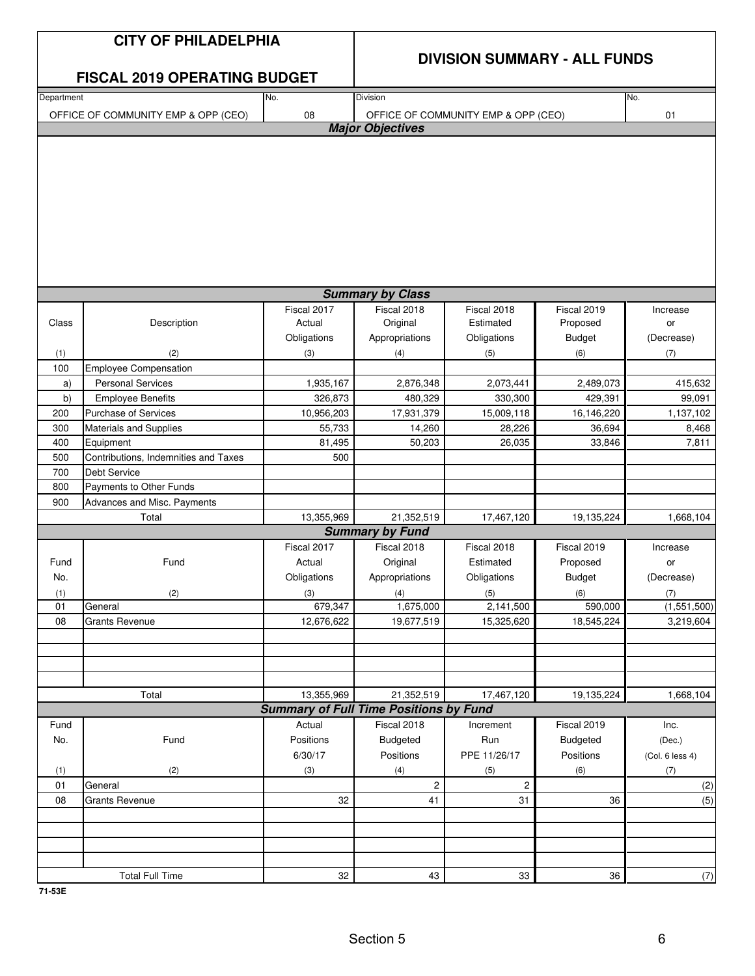|            | <b>CITY OF PHILADELPHIA</b>          |                                               | <b>DIVISION SUMMARY - ALL FUNDS</b> |                                     |                         |                 |  |
|------------|--------------------------------------|-----------------------------------------------|-------------------------------------|-------------------------------------|-------------------------|-----------------|--|
|            | <b>FISCAL 2019 OPERATING BUDGET</b>  |                                               |                                     |                                     |                         |                 |  |
| Department |                                      | No.                                           | <b>Division</b>                     |                                     |                         | No.             |  |
|            | OFFICE OF COMMUNITY EMP & OPP (CEO)  | 08                                            | <b>Major Objectives</b>             | OFFICE OF COMMUNITY EMP & OPP (CEO) |                         | 01              |  |
|            |                                      |                                               |                                     |                                     |                         |                 |  |
|            |                                      |                                               |                                     |                                     |                         |                 |  |
|            |                                      |                                               | <b>Summary by Class</b>             |                                     |                         |                 |  |
| Class      | Description                          | Fiscal 2017<br>Actual                         | Fiscal 2018<br>Original             | Fiscal 2018<br>Estimated            | Fiscal 2019<br>Proposed | Increase<br>or  |  |
|            |                                      | Obligations                                   | Appropriations                      | Obligations                         | <b>Budget</b>           | (Decrease)      |  |
|            | (2)                                  | (3)                                           |                                     | (5)                                 | (6)                     | (7)             |  |
| (1)<br>100 | <b>Employee Compensation</b>         |                                               | (4)                                 |                                     |                         |                 |  |
| a)         | <b>Personal Services</b>             | 1,935,167                                     | 2,876,348                           | 2,073,441                           | 2,489,073               | 415,632         |  |
| b)         | <b>Employee Benefits</b>             | 326,873                                       | 480,329                             | 330,300                             | 429,391                 | 99,091          |  |
| 200        | <b>Purchase of Services</b>          | 10,956,203                                    | 17,931,379                          | 15,009,118                          | 16,146,220              | 1,137,102       |  |
| 300        | Materials and Supplies               | 55,733                                        | 14,260                              | 28,226                              | 36,694                  | 8,468           |  |
| 400        | Equipment                            | 81,495                                        | 50,203                              | 26,035                              | 33,846                  | 7,811           |  |
| 500        | Contributions, Indemnities and Taxes | 500                                           |                                     |                                     |                         |                 |  |
| 700        | <b>Debt Service</b>                  |                                               |                                     |                                     |                         |                 |  |
| 800        | Payments to Other Funds              |                                               |                                     |                                     |                         |                 |  |
| 900        | Advances and Misc. Payments          |                                               |                                     |                                     |                         |                 |  |
|            | Total                                | 13,355,969                                    | 21,352,519                          | 17,467,120                          | 19,135,224              | 1,668,104       |  |
|            |                                      |                                               | <b>Summary by Fund</b>              |                                     |                         |                 |  |
|            |                                      | Fiscal 2017                                   | Fiscal 2018                         | Fiscal 2018                         | Fiscal 2019             | Increase        |  |
| Fund       | Fund                                 | Actual                                        | Original                            | Estimated                           | Proposed                | or              |  |
| No.        |                                      | Obligations                                   | Appropriations                      | Obligations                         | <b>Budget</b>           | (Decrease)      |  |
| (1)        | (2)                                  | (3)                                           |                                     | (5)                                 | (6)                     | (7)             |  |
| 01         | General                              | 679,347                                       | (4)<br>1,675,000                    | 2,141,500                           | 590,000                 | (1,551,500)     |  |
| 08         | <b>Grants Revenue</b>                | 12,676,622                                    | 19,677,519                          | 15,325,620                          | 18,545,224              | 3,219,604       |  |
|            |                                      |                                               |                                     |                                     |                         |                 |  |
|            |                                      |                                               |                                     |                                     |                         |                 |  |
|            |                                      |                                               |                                     |                                     |                         |                 |  |
|            |                                      |                                               |                                     |                                     |                         |                 |  |
|            | Total                                | 13,355,969                                    | 21,352,519                          | 17,467,120                          | 19,135,224              | 1,668,104       |  |
|            |                                      | <b>Summary of Full Time Positions by Fund</b> |                                     |                                     |                         |                 |  |
| Fund       |                                      | Actual                                        | Fiscal 2018                         | Increment                           | Fiscal 2019             | Inc.            |  |
| No.        | Fund                                 | Positions                                     | Budgeted                            | Run                                 | <b>Budgeted</b>         | (Dec.)          |  |
|            |                                      | 6/30/17                                       | Positions                           | PPE 11/26/17                        | Positions               | (Col. 6 less 4) |  |
| (1)        | (2)                                  | (3)                                           | (4)                                 | (5)                                 | (6)                     | (7)             |  |
| 01         | General                              |                                               | $\overline{c}$                      | $\mathbf{2}$                        |                         | (2)             |  |
| 08         | <b>Grants Revenue</b>                | 32                                            | 41                                  | 31                                  | 36                      | (5)             |  |
|            |                                      |                                               |                                     |                                     |                         |                 |  |
|            |                                      |                                               |                                     |                                     |                         |                 |  |
|            |                                      |                                               |                                     |                                     |                         |                 |  |
|            |                                      |                                               |                                     |                                     |                         |                 |  |
|            | <b>Total Full Time</b>               | 32                                            | 43                                  | 33                                  | 36                      | (7)             |  |

**71-53E**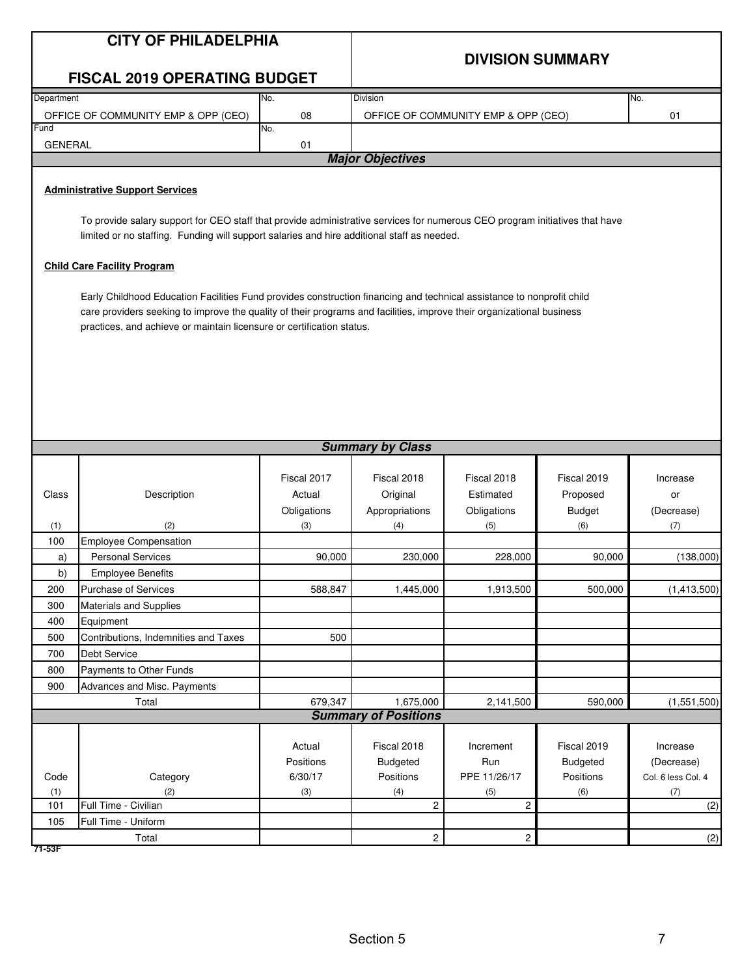|                | <b>CITY OF PHILADELPHIA</b>                                                                                                                                                                                                                                                                                             |             |                             |                                     |                         |                    |  |  |  |  |
|----------------|-------------------------------------------------------------------------------------------------------------------------------------------------------------------------------------------------------------------------------------------------------------------------------------------------------------------------|-------------|-----------------------------|-------------------------------------|-------------------------|--------------------|--|--|--|--|
|                |                                                                                                                                                                                                                                                                                                                         |             |                             |                                     | <b>DIVISION SUMMARY</b> |                    |  |  |  |  |
|                | <b>FISCAL 2019 OPERATING BUDGET</b>                                                                                                                                                                                                                                                                                     |             |                             |                                     |                         |                    |  |  |  |  |
| Department     |                                                                                                                                                                                                                                                                                                                         | No.         | Division                    |                                     |                         | No.                |  |  |  |  |
| Fund           | OFFICE OF COMMUNITY EMP & OPP (CEO)                                                                                                                                                                                                                                                                                     | 08          |                             | OFFICE OF COMMUNITY EMP & OPP (CEO) |                         | 01                 |  |  |  |  |
| <b>GENERAL</b> |                                                                                                                                                                                                                                                                                                                         | No.<br>01   |                             |                                     |                         |                    |  |  |  |  |
|                |                                                                                                                                                                                                                                                                                                                         |             | <b>Major Objectives</b>     |                                     |                         |                    |  |  |  |  |
|                |                                                                                                                                                                                                                                                                                                                         |             |                             |                                     |                         |                    |  |  |  |  |
|                | <b>Administrative Support Services</b>                                                                                                                                                                                                                                                                                  |             |                             |                                     |                         |                    |  |  |  |  |
|                | To provide salary support for CEO staff that provide administrative services for numerous CEO program initiatives that have<br>limited or no staffing. Funding will support salaries and hire additional staff as needed.                                                                                               |             |                             |                                     |                         |                    |  |  |  |  |
|                | <b>Child Care Facility Program</b>                                                                                                                                                                                                                                                                                      |             |                             |                                     |                         |                    |  |  |  |  |
|                | Early Childhood Education Facilities Fund provides construction financing and technical assistance to nonprofit child<br>care providers seeking to improve the quality of their programs and facilities, improve their organizational business<br>practices, and achieve or maintain licensure or certification status. |             |                             |                                     |                         |                    |  |  |  |  |
|                |                                                                                                                                                                                                                                                                                                                         |             | <b>Summary by Class</b>     |                                     |                         |                    |  |  |  |  |
|                |                                                                                                                                                                                                                                                                                                                         |             |                             |                                     |                         |                    |  |  |  |  |
|                |                                                                                                                                                                                                                                                                                                                         | Fiscal 2017 | Fiscal 2018                 | Fiscal 2018                         | Fiscal 2019             | Increase           |  |  |  |  |
| Class          | Description                                                                                                                                                                                                                                                                                                             | Actual      | Original                    | Estimated                           | Proposed                | or                 |  |  |  |  |
|                | (2)                                                                                                                                                                                                                                                                                                                     | Obligations | Appropriations              | Obligations                         | <b>Budget</b>           | (Decrease)         |  |  |  |  |
| (1)<br>100     | <b>Employee Compensation</b>                                                                                                                                                                                                                                                                                            | (3)         | (4)                         | (5)                                 | (6)                     | (7)                |  |  |  |  |
| a)             | <b>Personal Services</b>                                                                                                                                                                                                                                                                                                | 90,000      | 230,000                     | 228,000                             | 90,000                  | (138,000)          |  |  |  |  |
| b)             | <b>Employee Benefits</b>                                                                                                                                                                                                                                                                                                |             |                             |                                     |                         |                    |  |  |  |  |
| 200            | Purchase of Services                                                                                                                                                                                                                                                                                                    | 588,847     | 1,445,000                   | 1,913,500                           | 500,000                 | (1,413,500)        |  |  |  |  |
| 300            | Materials and Supplies                                                                                                                                                                                                                                                                                                  |             |                             |                                     |                         |                    |  |  |  |  |
| 400            | Equipment                                                                                                                                                                                                                                                                                                               |             |                             |                                     |                         |                    |  |  |  |  |
| 500            | Contributions, Indemnities and Taxes                                                                                                                                                                                                                                                                                    | 500         |                             |                                     |                         |                    |  |  |  |  |
| 700            | Debt Service                                                                                                                                                                                                                                                                                                            |             |                             |                                     |                         |                    |  |  |  |  |
| 800            | Payments to Other Funds                                                                                                                                                                                                                                                                                                 |             |                             |                                     |                         |                    |  |  |  |  |
| 900            | Advances and Misc. Payments                                                                                                                                                                                                                                                                                             |             |                             |                                     |                         |                    |  |  |  |  |
|                | Total                                                                                                                                                                                                                                                                                                                   | 679,347     | 1,675,000                   | 2,141,500                           | 590,000                 | (1,551,500)        |  |  |  |  |
|                |                                                                                                                                                                                                                                                                                                                         |             | <b>Summary of Positions</b> |                                     |                         |                    |  |  |  |  |
|                |                                                                                                                                                                                                                                                                                                                         | Actual      | Fiscal 2018                 | Increment                           | Fiscal 2019             | Increase           |  |  |  |  |
|                |                                                                                                                                                                                                                                                                                                                         | Positions   | Budgeted                    | Run                                 | <b>Budgeted</b>         | (Decrease)         |  |  |  |  |
| Code           | Category                                                                                                                                                                                                                                                                                                                | 6/30/17     | Positions                   | PPE 11/26/17                        | Positions               | Col. 6 less Col. 4 |  |  |  |  |
| (1)            | (2)                                                                                                                                                                                                                                                                                                                     | (3)         | (4)                         | (5)                                 | (6)                     | (7)                |  |  |  |  |
| 101            | Full Time - Civilian                                                                                                                                                                                                                                                                                                    |             | $\overline{c}$              | 2                                   |                         | (2)                |  |  |  |  |
| 105            | Full Time - Uniform                                                                                                                                                                                                                                                                                                     |             |                             |                                     |                         |                    |  |  |  |  |
|                | Total                                                                                                                                                                                                                                                                                                                   |             | $\overline{c}$              | $\overline{2}$                      |                         | (2)                |  |  |  |  |
| 71-53F         |                                                                                                                                                                                                                                                                                                                         |             |                             |                                     |                         |                    |  |  |  |  |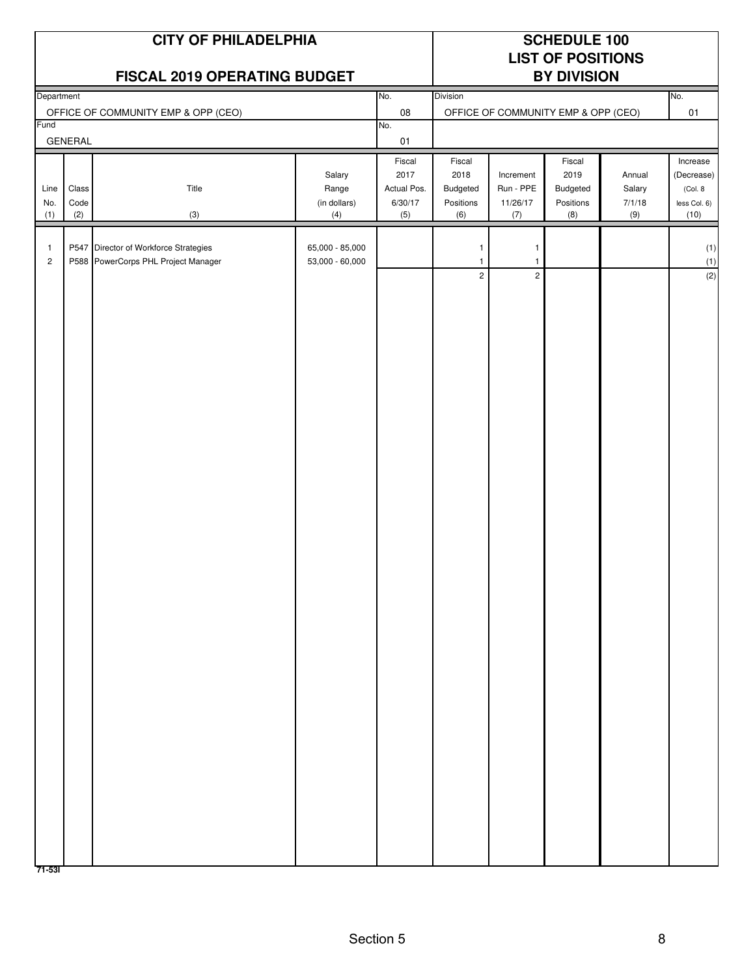| No.<br>No.<br>Department<br>Division<br>08<br>OFFICE OF COMMUNITY EMP & OPP (CEO)<br>01<br>OFFICE OF COMMUNITY EMP & OPP (CEO)<br>Fund<br>No.<br><b>GENERAL</b><br>$01$<br>Fiscal<br>Fiscal<br>Fiscal<br>2017<br>2018<br>2019<br>Salary<br>Increment<br>Annual<br>Class<br>Title<br>Actual Pos.<br>Budgeted<br>Run - PPE<br>Salary<br>Line<br>Range<br>Budgeted<br>(Col. 8)<br>Code<br>(in dollars)<br>6/30/17<br>Positions<br>11/26/17<br>Positions<br>7/1/18<br>No.<br>(2)<br>(9)<br>(1)<br>(3)<br>(4)<br>(5)<br>(6)<br>(7)<br>(8)<br>(10)<br>P547 Director of Workforce Strategies<br>65,000 - 85,000<br>1<br>$\mathbf{1}$<br>$\mathbf{1}$<br>P588 PowerCorps PHL Project Manager<br>53,000 - 60,000<br>$\mathbf{2}$<br>$\mathbf{1}$<br>$\mathbf{1}$<br>$\overline{2}$<br>$\overline{2}$ |  | <b>CITY OF PHILADELPHIA</b><br>FISCAL 2019 OPERATING BUDGET | <b>SCHEDULE 100</b><br><b>LIST OF POSITIONS</b><br><b>BY DIVISION</b> |  |  |  |  |                                        |
|---------------------------------------------------------------------------------------------------------------------------------------------------------------------------------------------------------------------------------------------------------------------------------------------------------------------------------------------------------------------------------------------------------------------------------------------------------------------------------------------------------------------------------------------------------------------------------------------------------------------------------------------------------------------------------------------------------------------------------------------------------------------------------------------|--|-------------------------------------------------------------|-----------------------------------------------------------------------|--|--|--|--|----------------------------------------|
|                                                                                                                                                                                                                                                                                                                                                                                                                                                                                                                                                                                                                                                                                                                                                                                             |  |                                                             |                                                                       |  |  |  |  |                                        |
|                                                                                                                                                                                                                                                                                                                                                                                                                                                                                                                                                                                                                                                                                                                                                                                             |  |                                                             |                                                                       |  |  |  |  |                                        |
|                                                                                                                                                                                                                                                                                                                                                                                                                                                                                                                                                                                                                                                                                                                                                                                             |  |                                                             |                                                                       |  |  |  |  |                                        |
|                                                                                                                                                                                                                                                                                                                                                                                                                                                                                                                                                                                                                                                                                                                                                                                             |  |                                                             |                                                                       |  |  |  |  | Increase<br>(Decrease)<br>less Col. 6) |
|                                                                                                                                                                                                                                                                                                                                                                                                                                                                                                                                                                                                                                                                                                                                                                                             |  |                                                             |                                                                       |  |  |  |  | (1)<br>(1)<br>(2)                      |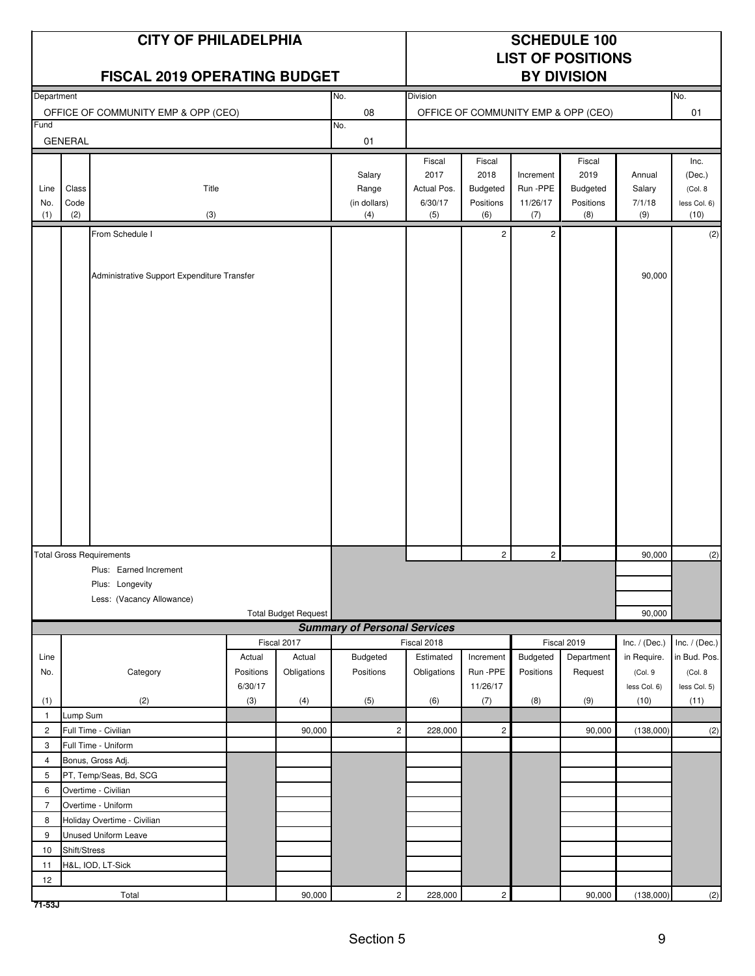|                |                                             | <b>CITY OF PHILADELPHIA</b><br><b>FISCAL 2019 OPERATING BUDGET</b> |           |                             |                                     |                 |                         |                 | <b>SCHEDULE 100</b><br><b>LIST OF POSITIONS</b><br><b>BY DIVISION</b> |                 |                      |
|----------------|---------------------------------------------|--------------------------------------------------------------------|-----------|-----------------------------|-------------------------------------|-----------------|-------------------------|-----------------|-----------------------------------------------------------------------|-----------------|----------------------|
| Department     |                                             |                                                                    |           |                             | No.                                 | <b>Division</b> |                         |                 |                                                                       |                 | No.                  |
|                |                                             | OFFICE OF COMMUNITY EMP & OPP (CEO)                                |           |                             | 08                                  |                 |                         |                 | OFFICE OF COMMUNITY EMP & OPP (CEO)                                   |                 | 01                   |
| Fund           | <b>GENERAL</b>                              |                                                                    |           |                             | No.<br>01                           |                 |                         |                 |                                                                       |                 |                      |
|                |                                             |                                                                    |           |                             |                                     | Fiscal          | Fiscal                  |                 | Fiscal                                                                |                 | Inc.                 |
|                |                                             |                                                                    |           |                             | Salary                              | 2017            | 2018                    | Increment       | 2019                                                                  | Annual          | (Dec.)               |
| Line           | Class                                       | Title                                                              |           |                             | Range                               | Actual Pos.     | Budgeted                | Run -PPE        | <b>Budgeted</b>                                                       | Salary          | (Col. 8)             |
| No.<br>(1)     | Code<br>(2)                                 | (3)                                                                |           |                             | (in dollars)<br>(4)                 | 6/30/17<br>(5)  | Positions<br>(6)        | 11/26/17<br>(7) | Positions<br>(8)                                                      | 7/1/18<br>(9)   | less Col. 6)<br>(10) |
|                |                                             |                                                                    |           |                             |                                     |                 |                         |                 |                                                                       |                 |                      |
|                | From Schedule I                             |                                                                    |           |                             |                                     | $\overline{c}$  | $\overline{\mathbf{c}}$ |                 |                                                                       | (2)             |                      |
|                |                                             |                                                                    |           |                             |                                     |                 |                         |                 |                                                                       |                 |                      |
|                | Administrative Support Expenditure Transfer |                                                                    |           |                             |                                     |                 |                         |                 |                                                                       | 90,000          |                      |
|                |                                             |                                                                    |           |                             |                                     |                 |                         |                 |                                                                       |                 |                      |
|                |                                             |                                                                    |           |                             |                                     |                 |                         |                 |                                                                       |                 |                      |
|                |                                             |                                                                    |           |                             |                                     |                 |                         |                 |                                                                       |                 |                      |
|                |                                             |                                                                    |           |                             |                                     |                 |                         |                 |                                                                       |                 |                      |
|                |                                             |                                                                    |           |                             |                                     |                 |                         |                 |                                                                       |                 |                      |
|                |                                             |                                                                    |           |                             |                                     |                 |                         |                 |                                                                       |                 |                      |
|                |                                             |                                                                    |           |                             |                                     |                 |                         |                 |                                                                       |                 |                      |
|                |                                             |                                                                    |           |                             |                                     |                 |                         |                 |                                                                       |                 |                      |
|                |                                             |                                                                    |           |                             |                                     |                 |                         |                 |                                                                       |                 |                      |
|                |                                             |                                                                    |           |                             |                                     |                 |                         |                 |                                                                       |                 |                      |
|                |                                             |                                                                    |           |                             |                                     |                 |                         |                 |                                                                       |                 |                      |
|                |                                             |                                                                    |           |                             |                                     |                 |                         |                 |                                                                       |                 |                      |
|                |                                             |                                                                    |           |                             |                                     |                 |                         |                 |                                                                       |                 |                      |
|                |                                             |                                                                    |           |                             |                                     |                 |                         |                 |                                                                       |                 |                      |
|                |                                             |                                                                    |           |                             |                                     |                 |                         |                 |                                                                       |                 |                      |
|                |                                             |                                                                    |           |                             |                                     |                 |                         |                 |                                                                       |                 |                      |
|                |                                             |                                                                    |           |                             |                                     |                 |                         |                 |                                                                       |                 |                      |
|                |                                             | <b>Total Gross Requirements</b>                                    |           |                             |                                     |                 | $\overline{2}$          | $\overline{c}$  |                                                                       | 90,000          | (2)                  |
|                |                                             | Plus: Earned Increment                                             |           |                             |                                     |                 |                         |                 |                                                                       |                 |                      |
|                |                                             | Plus: Longevity                                                    |           |                             |                                     |                 |                         |                 |                                                                       |                 |                      |
|                |                                             | Less: (Vacancy Allowance)                                          |           |                             |                                     |                 |                         |                 |                                                                       |                 |                      |
|                |                                             |                                                                    |           | <b>Total Budget Request</b> | <b>Summary of Personal Services</b> |                 |                         |                 |                                                                       | 90,000          |                      |
|                |                                             |                                                                    |           | Fiscal 2017                 |                                     | Fiscal 2018     |                         |                 | Fiscal 2019                                                           | Inc. $/$ (Dec.) | Inc. $/$ (Dec.)      |
| Line           |                                             |                                                                    | Actual    | Actual                      | Budgeted                            | Estimated       | Increment               | Budgeted        | Department                                                            | in Require.     | in Bud. Pos.         |
| No.            |                                             | Category                                                           | Positions | Obligations                 | Positions                           | Obligations     | Run -PPE                | Positions       | Request                                                               | (Col.9          | (Col. 8              |
|                |                                             |                                                                    | 6/30/17   |                             |                                     |                 | 11/26/17                |                 |                                                                       | less Col. 6)    | less Col. 5)         |
| (1)            |                                             | (2)                                                                | (3)       | (4)                         | (5)                                 | (6)             | (7)                     | (8)             | (9)                                                                   | (10)            | (11)                 |
| $\mathbf{1}$   | Lump Sum                                    |                                                                    |           |                             |                                     |                 |                         |                 |                                                                       |                 |                      |
| $\overline{2}$ |                                             | Full Time - Civilian                                               |           | 90,000                      | $\overline{c}$                      | 228,000         | $\mathbf{2}$            |                 | 90,000                                                                | (138,000)       | (2)                  |
| 3              |                                             | Full Time - Uniform                                                |           |                             |                                     |                 |                         |                 |                                                                       |                 |                      |
| $\overline{4}$ |                                             | Bonus, Gross Adj.                                                  |           |                             |                                     |                 |                         |                 |                                                                       |                 |                      |
| 5              |                                             | PT, Temp/Seas, Bd, SCG                                             |           |                             |                                     |                 |                         |                 |                                                                       |                 |                      |
| 6              |                                             | Overtime - Civilian                                                |           |                             |                                     |                 |                         |                 |                                                                       |                 |                      |
| $\overline{7}$ |                                             | Overtime - Uniform                                                 |           |                             |                                     |                 |                         |                 |                                                                       |                 |                      |
| 8              |                                             | Holiday Overtime - Civilian                                        |           |                             |                                     |                 |                         |                 |                                                                       |                 |                      |
| 9              |                                             | <b>Unused Uniform Leave</b>                                        |           |                             |                                     |                 |                         |                 |                                                                       |                 |                      |
| 10             | Shift/Stress                                |                                                                    |           |                             |                                     |                 |                         |                 |                                                                       |                 |                      |
| 11             |                                             | H&L, IOD, LT-Sick                                                  |           |                             |                                     |                 |                         |                 |                                                                       |                 |                      |
| 12             |                                             | Total                                                              |           | 90,000                      | $\mathbf{2}$                        | 228,000         | $\overline{2}$          |                 | 90,000                                                                | (138,000)       | (2)                  |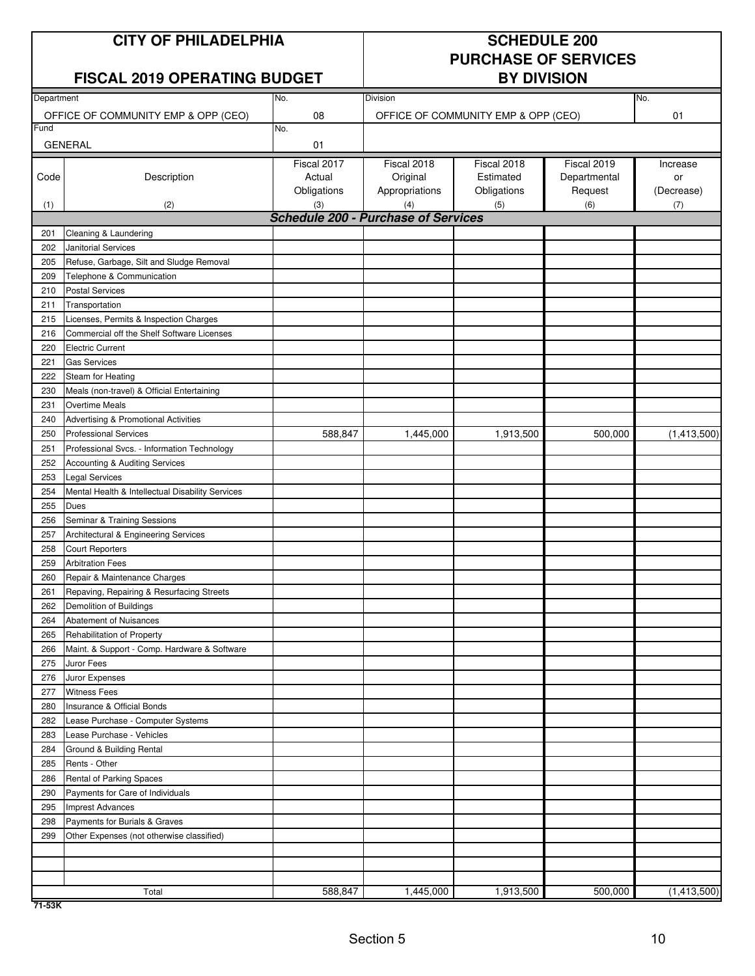### **CITY OF PHILADELPHIA** SCHEDULE 200

### **FISCAL 2019 OPERATING BUDGET BY DIVISION**

# **PURCHASE OF SERVICES**

| Department |                                                  | No.                                               | Division       |                                     |              | No.         |
|------------|--------------------------------------------------|---------------------------------------------------|----------------|-------------------------------------|--------------|-------------|
|            | OFFICE OF COMMUNITY EMP & OPP (CEO)              | 08                                                |                | OFFICE OF COMMUNITY EMP & OPP (CEO) |              | 01          |
| Fund       |                                                  | No.                                               |                |                                     |              |             |
|            | <b>GENERAL</b>                                   | 01                                                |                |                                     |              |             |
|            |                                                  | Fiscal 2017                                       | Fiscal 2018    | Fiscal 2018                         | Fiscal 2019  | Increase    |
| Code       | Description                                      | Actual                                            | Original       | Estimated                           | Departmental | or          |
|            |                                                  | Obligations                                       | Appropriations | Obligations                         | Request      | (Decrease)  |
| (1)        | (2)                                              | (3)<br><b>Schedule 200 - Purchase of Services</b> | (4)            | (5)                                 | (6)          | (7)         |
| 201        | Cleaning & Laundering                            |                                                   |                |                                     |              |             |
| 202        | Janitorial Services                              |                                                   |                |                                     |              |             |
| 205        | Refuse, Garbage, Silt and Sludge Removal         |                                                   |                |                                     |              |             |
| 209        | Telephone & Communication                        |                                                   |                |                                     |              |             |
| 210        | <b>Postal Services</b>                           |                                                   |                |                                     |              |             |
| 211        | Transportation                                   |                                                   |                |                                     |              |             |
| 215        | Licenses, Permits & Inspection Charges           |                                                   |                |                                     |              |             |
| 216        | Commercial off the Shelf Software Licenses       |                                                   |                |                                     |              |             |
| 220        | <b>Electric Current</b>                          |                                                   |                |                                     |              |             |
| 221        | <b>Gas Services</b>                              |                                                   |                |                                     |              |             |
| 222        | Steam for Heating                                |                                                   |                |                                     |              |             |
| 230        | Meals (non-travel) & Official Entertaining       |                                                   |                |                                     |              |             |
| 231        | <b>Overtime Meals</b>                            |                                                   |                |                                     |              |             |
| 240        | Advertising & Promotional Activities             |                                                   |                |                                     |              |             |
| 250        | <b>Professional Services</b>                     | 588,847                                           | 1,445,000      | 1,913,500                           | 500,000      | (1,413,500) |
| 251        | Professional Svcs. - Information Technology      |                                                   |                |                                     |              |             |
| 252        | Accounting & Auditing Services                   |                                                   |                |                                     |              |             |
| 253        | Legal Services                                   |                                                   |                |                                     |              |             |
| 254        | Mental Health & Intellectual Disability Services |                                                   |                |                                     |              |             |
| 255        | Dues                                             |                                                   |                |                                     |              |             |
| 256        | Seminar & Training Sessions                      |                                                   |                |                                     |              |             |
| 257        | Architectural & Engineering Services             |                                                   |                |                                     |              |             |
| 258        | <b>Court Reporters</b>                           |                                                   |                |                                     |              |             |
| 259        | <b>Arbitration Fees</b>                          |                                                   |                |                                     |              |             |
| 260        | Repair & Maintenance Charges                     |                                                   |                |                                     |              |             |
| 261        | Repaving, Repairing & Resurfacing Streets        |                                                   |                |                                     |              |             |
| 262        | Demolition of Buildings                          |                                                   |                |                                     |              |             |
| 264        | Abatement of Nuisances                           |                                                   |                |                                     |              |             |
| 265        | Rehabilitation of Property                       |                                                   |                |                                     |              |             |
| 266        | Maint. & Support - Comp. Hardware & Software     |                                                   |                |                                     |              |             |
| 275        | Juror Fees                                       |                                                   |                |                                     |              |             |
| 276        | Juror Expenses                                   |                                                   |                |                                     |              |             |
| 277        | <b>Witness Fees</b>                              |                                                   |                |                                     |              |             |
| 280        | Insurance & Official Bonds                       |                                                   |                |                                     |              |             |
| 282        | Lease Purchase - Computer Systems                |                                                   |                |                                     |              |             |
| 283        | Lease Purchase - Vehicles                        |                                                   |                |                                     |              |             |
| 284        | Ground & Building Rental                         |                                                   |                |                                     |              |             |
| 285        | Rents - Other                                    |                                                   |                |                                     |              |             |
| 286        | Rental of Parking Spaces                         |                                                   |                |                                     |              |             |
| 290        | Payments for Care of Individuals                 |                                                   |                |                                     |              |             |
| 295        | <b>Imprest Advances</b>                          |                                                   |                |                                     |              |             |
| 298        | Payments for Burials & Graves                    |                                                   |                |                                     |              |             |
| 299        | Other Expenses (not otherwise classified)        |                                                   |                |                                     |              |             |
|            |                                                  |                                                   |                |                                     |              |             |
|            |                                                  |                                                   |                |                                     |              |             |
|            |                                                  |                                                   |                |                                     |              |             |
|            | Total                                            | 588,847                                           | 1,445,000      | 1,913,500                           | 500,000      | (1,413,500) |

**71-53K**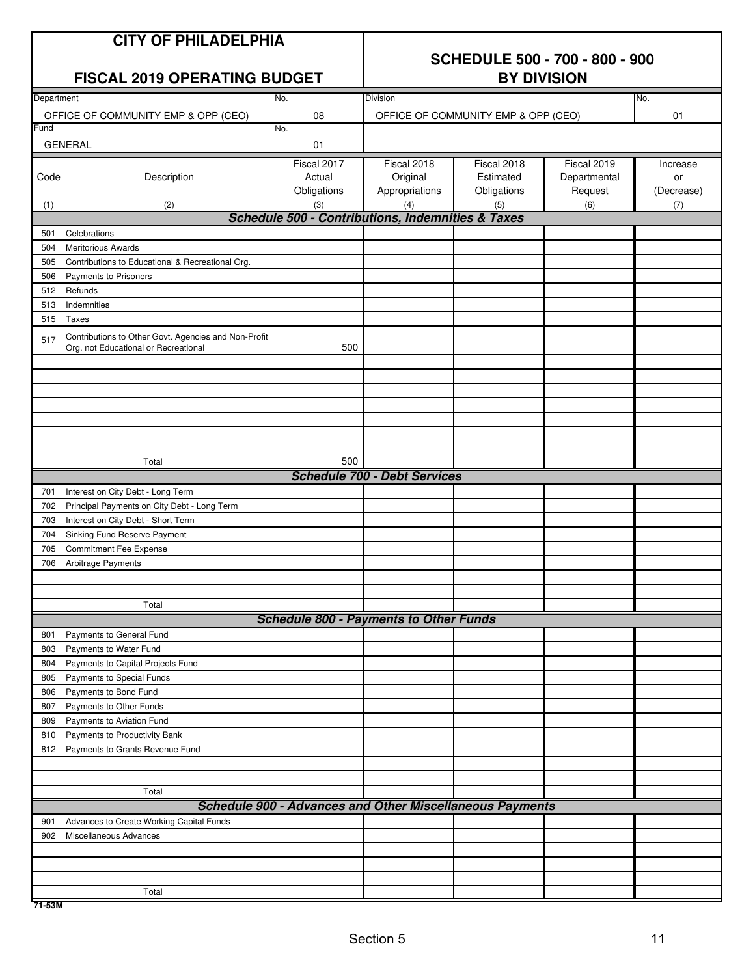| <b>CITY OF PHILADELPHIA</b> |
|-----------------------------|
|-----------------------------|

#### **SCHEDULE 500 - 700 - 800 - 900 BY DIVISION**

| Department |                                                      | No.                                                             | Division                            |                                     | No.          |            |
|------------|------------------------------------------------------|-----------------------------------------------------------------|-------------------------------------|-------------------------------------|--------------|------------|
|            | OFFICE OF COMMUNITY EMP & OPP (CEO)                  | 08                                                              |                                     | OFFICE OF COMMUNITY EMP & OPP (CEO) |              | 01         |
| Fund       |                                                      | No.                                                             |                                     |                                     |              |            |
|            | <b>GENERAL</b>                                       | 01                                                              |                                     |                                     |              |            |
|            |                                                      | Fiscal 2017                                                     | Fiscal 2018                         | Fiscal 2018                         | Fiscal 2019  | Increase   |
| Code       | Description                                          | Actual                                                          | Original                            | Estimated                           | Departmental | or         |
|            |                                                      | Obligations                                                     | Appropriations                      | Obligations                         | Request      | (Decrease) |
| (1)        | (2)                                                  | (3)                                                             | (4)                                 | (5)                                 | (6)          | (7)        |
|            |                                                      | <b>Schedule 500 - Contributions, Indemnities &amp; Taxes</b>    |                                     |                                     |              |            |
| 501        | Celebrations                                         |                                                                 |                                     |                                     |              |            |
| 504        | <b>Meritorious Awards</b>                            |                                                                 |                                     |                                     |              |            |
| 505        | Contributions to Educational & Recreational Org.     |                                                                 |                                     |                                     |              |            |
| 506        | Payments to Prisoners                                |                                                                 |                                     |                                     |              |            |
| 512        | Refunds                                              |                                                                 |                                     |                                     |              |            |
| 513        | Indemnities                                          |                                                                 |                                     |                                     |              |            |
| 515        | Taxes                                                |                                                                 |                                     |                                     |              |            |
|            | Contributions to Other Govt. Agencies and Non-Profit |                                                                 |                                     |                                     |              |            |
| 517        | Org. not Educational or Recreational                 | 500                                                             |                                     |                                     |              |            |
|            |                                                      |                                                                 |                                     |                                     |              |            |
|            |                                                      |                                                                 |                                     |                                     |              |            |
|            |                                                      |                                                                 |                                     |                                     |              |            |
|            |                                                      |                                                                 |                                     |                                     |              |            |
|            |                                                      |                                                                 |                                     |                                     |              |            |
|            |                                                      |                                                                 |                                     |                                     |              |            |
|            |                                                      |                                                                 |                                     |                                     |              |            |
|            | Total                                                | 500                                                             |                                     |                                     |              |            |
|            |                                                      |                                                                 | <b>Schedule 700 - Debt Services</b> |                                     |              |            |
| 701        | Interest on City Debt - Long Term                    |                                                                 |                                     |                                     |              |            |
| 702        | Principal Payments on City Debt - Long Term          |                                                                 |                                     |                                     |              |            |
| 703        | Interest on City Debt - Short Term                   |                                                                 |                                     |                                     |              |            |
| 704        | Sinking Fund Reserve Payment                         |                                                                 |                                     |                                     |              |            |
| 705        | Commitment Fee Expense                               |                                                                 |                                     |                                     |              |            |
| 706        | Arbitrage Payments                                   |                                                                 |                                     |                                     |              |            |
|            |                                                      |                                                                 |                                     |                                     |              |            |
|            |                                                      |                                                                 |                                     |                                     |              |            |
|            | Total                                                |                                                                 |                                     |                                     |              |            |
|            |                                                      | <b>Schedule 800 - Payments to Other Funds</b>                   |                                     |                                     |              |            |
| 801        | Payments to General Fund                             |                                                                 |                                     |                                     |              |            |
| 803        | Payments to Water Fund                               |                                                                 |                                     |                                     |              |            |
| 804        | Payments to Capital Projects Fund                    |                                                                 |                                     |                                     |              |            |
| 805        | Payments to Special Funds                            |                                                                 |                                     |                                     |              |            |
| 806        | Payments to Bond Fund                                |                                                                 |                                     |                                     |              |            |
| 807        | Payments to Other Funds                              |                                                                 |                                     |                                     |              |            |
| 809        | Payments to Aviation Fund                            |                                                                 |                                     |                                     |              |            |
| 810        | Payments to Productivity Bank                        |                                                                 |                                     |                                     |              |            |
| 812        | Payments to Grants Revenue Fund                      |                                                                 |                                     |                                     |              |            |
|            |                                                      |                                                                 |                                     |                                     |              |            |
|            |                                                      |                                                                 |                                     |                                     |              |            |
|            | Total                                                |                                                                 |                                     |                                     |              |            |
|            |                                                      | <b>Schedule 900 - Advances and Other Miscellaneous Payments</b> |                                     |                                     |              |            |
| 901        | Advances to Create Working Capital Funds             |                                                                 |                                     |                                     |              |            |
| 902        | Miscellaneous Advances                               |                                                                 |                                     |                                     |              |            |
|            |                                                      |                                                                 |                                     |                                     |              |            |
|            |                                                      |                                                                 |                                     |                                     |              |            |
|            |                                                      |                                                                 |                                     |                                     |              |            |
|            | Total                                                |                                                                 |                                     |                                     |              |            |
| 71-53M     |                                                      |                                                                 |                                     |                                     |              |            |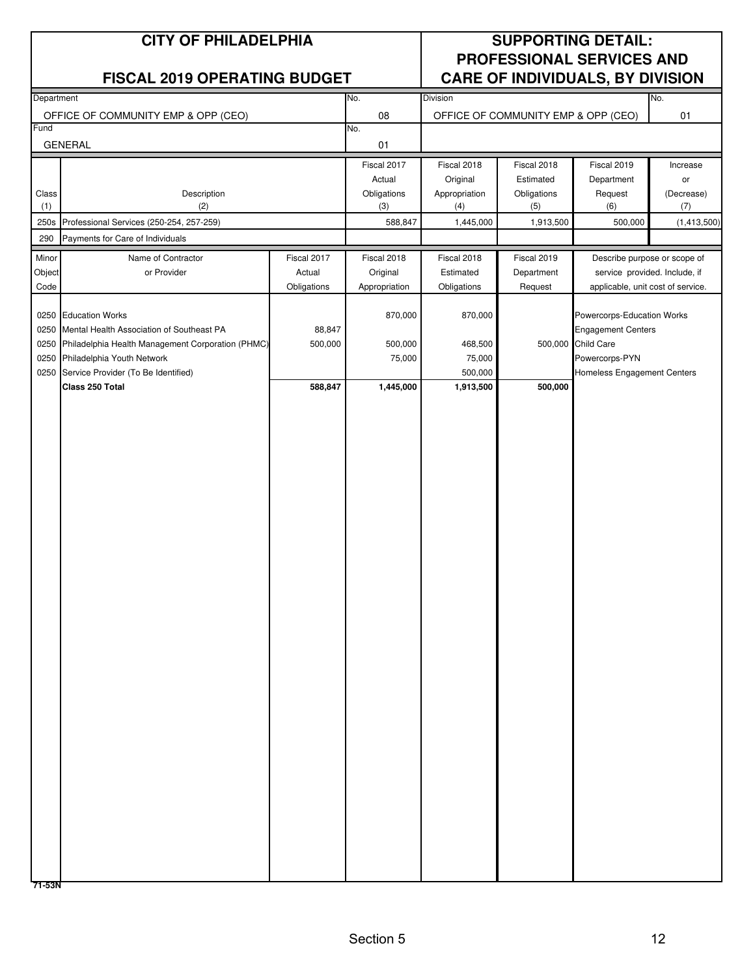#### **CITY OF PHILADELPHIA SUPPORTING DETAIL: PROFESSIONAL SERVICES AND FISCAL 2019 OPERATING BUDGET CARE OF INDIVIDUALS, BY DIVISION**

| Department |                                                        |             | No.               | Division      |                                     |                                   | No.         |
|------------|--------------------------------------------------------|-------------|-------------------|---------------|-------------------------------------|-----------------------------------|-------------|
|            |                                                        |             |                   |               |                                     |                                   |             |
| Fund       | OFFICE OF COMMUNITY EMP & OPP (CEO)                    |             | ${\bf 08}$<br>No. |               | OFFICE OF COMMUNITY EMP & OPP (CEO) |                                   | $01\,$      |
|            | <b>GENERAL</b>                                         |             | 01                |               |                                     |                                   |             |
|            |                                                        |             | Fiscal 2017       | Fiscal 2018   | Fiscal 2018                         | Fiscal 2019                       | Increase    |
|            |                                                        |             | Actual            | Original      | Estimated                           | Department                        | or          |
| Class      | Description                                            |             | Obligations       | Appropriation | Obligations                         | Request                           | (Decrease)  |
| (1)        | (2)                                                    |             | (3)               | (4)           | (5)                                 | (6)                               | (7)         |
| 250s       | Professional Services (250-254, 257-259)               |             | 588,847           | 1,445,000     | 1,913,500                           | 500,000                           | (1,413,500) |
| 290        | Payments for Care of Individuals                       |             |                   |               |                                     |                                   |             |
| Minor      | Name of Contractor                                     | Fiscal 2017 | Fiscal 2018       | Fiscal 2018   | Fiscal 2019                         | Describe purpose or scope of      |             |
| Object     | or Provider                                            | Actual      | Original          | Estimated     | Department                          | service provided. Include, if     |             |
| Code       |                                                        | Obligations | Appropriation     | Obligations   | Request                             | applicable, unit cost of service. |             |
|            |                                                        |             |                   |               |                                     |                                   |             |
|            | 0250 Education Works                                   |             | 870,000           | 870,000       |                                     | Powercorps-Education Works        |             |
| 0250       | Mental Health Association of Southeast PA              | 88,847      |                   |               |                                     | <b>Engagement Centers</b>         |             |
|            | 0250 Philadelphia Health Management Corporation (PHMC) | 500,000     | 500,000           | 468,500       |                                     | 500,000 Child Care                |             |
| 0250       | Philadelphia Youth Network                             |             | 75,000            | 75,000        |                                     | Powercorps-PYN                    |             |
|            | 0250 Service Provider (To Be Identified)               |             |                   | 500,000       |                                     | Homeless Engagement Centers       |             |
|            | Class 250 Total                                        | 588,847     | 1,445,000         | 1,913,500     | 500,000                             |                                   |             |
|            |                                                        |             |                   |               |                                     |                                   |             |
|            |                                                        |             |                   |               |                                     |                                   |             |
|            |                                                        |             |                   |               |                                     |                                   |             |
|            |                                                        |             |                   |               |                                     |                                   |             |
|            |                                                        |             |                   |               |                                     |                                   |             |
|            |                                                        |             |                   |               |                                     |                                   |             |
|            |                                                        |             |                   |               |                                     |                                   |             |
|            |                                                        |             |                   |               |                                     |                                   |             |
|            |                                                        |             |                   |               |                                     |                                   |             |
|            |                                                        |             |                   |               |                                     |                                   |             |
|            |                                                        |             |                   |               |                                     |                                   |             |
|            |                                                        |             |                   |               |                                     |                                   |             |
|            |                                                        |             |                   |               |                                     |                                   |             |
|            |                                                        |             |                   |               |                                     |                                   |             |
|            |                                                        |             |                   |               |                                     |                                   |             |
|            |                                                        |             |                   |               |                                     |                                   |             |
|            |                                                        |             |                   |               |                                     |                                   |             |
|            |                                                        |             |                   |               |                                     |                                   |             |
|            |                                                        |             |                   |               |                                     |                                   |             |
|            |                                                        |             |                   |               |                                     |                                   |             |
|            |                                                        |             |                   |               |                                     |                                   |             |
|            |                                                        |             |                   |               |                                     |                                   |             |
|            |                                                        |             |                   |               |                                     |                                   |             |
|            |                                                        |             |                   |               |                                     |                                   |             |
|            |                                                        |             |                   |               |                                     |                                   |             |
|            |                                                        |             |                   |               |                                     |                                   |             |
|            |                                                        |             |                   |               |                                     |                                   |             |
|            |                                                        |             |                   |               |                                     |                                   |             |
|            |                                                        |             |                   |               |                                     |                                   |             |
|            |                                                        |             |                   |               |                                     |                                   |             |
|            |                                                        |             |                   |               |                                     |                                   |             |
|            |                                                        |             |                   |               |                                     |                                   |             |
|            |                                                        |             |                   |               |                                     |                                   |             |
|            |                                                        |             |                   |               |                                     |                                   |             |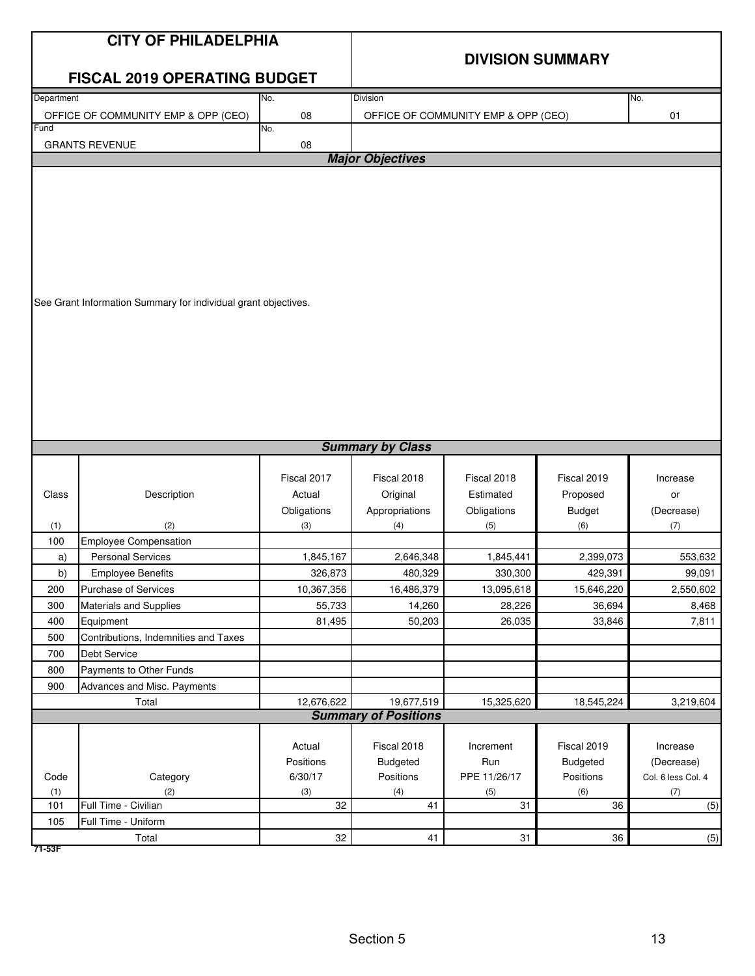|            | <b>CITY OF PHILADELPHIA</b>                                    |             |                                           |              |                 |                    |  |
|------------|----------------------------------------------------------------|-------------|-------------------------------------------|--------------|-----------------|--------------------|--|
|            |                                                                |             | <b>DIVISION SUMMARY</b>                   |              |                 |                    |  |
|            | <b>FISCAL 2019 OPERATING BUDGET</b>                            |             |                                           |              |                 |                    |  |
| Department |                                                                | No.         | <b>Division</b>                           |              |                 | No.                |  |
|            | OFFICE OF COMMUNITY EMP & OPP (CEO)                            | 08          | OFFICE OF COMMUNITY EMP & OPP (CEO)<br>01 |              |                 |                    |  |
| Fund       |                                                                | No.         |                                           |              |                 |                    |  |
|            | <b>GRANTS REVENUE</b>                                          | 08          | <b>Major Objectives</b>                   |              |                 |                    |  |
|            |                                                                |             |                                           |              |                 |                    |  |
|            |                                                                |             |                                           |              |                 |                    |  |
|            |                                                                |             |                                           |              |                 |                    |  |
|            |                                                                |             |                                           |              |                 |                    |  |
|            |                                                                |             |                                           |              |                 |                    |  |
|            |                                                                |             |                                           |              |                 |                    |  |
|            |                                                                |             |                                           |              |                 |                    |  |
|            | See Grant Information Summary for individual grant objectives. |             |                                           |              |                 |                    |  |
|            |                                                                |             |                                           |              |                 |                    |  |
|            |                                                                |             |                                           |              |                 |                    |  |
|            |                                                                |             |                                           |              |                 |                    |  |
|            |                                                                |             |                                           |              |                 |                    |  |
|            |                                                                |             |                                           |              |                 |                    |  |
|            |                                                                |             |                                           |              |                 |                    |  |
|            |                                                                |             |                                           |              |                 |                    |  |
|            |                                                                |             |                                           |              |                 |                    |  |
|            |                                                                |             | <b>Summary by Class</b>                   |              |                 |                    |  |
|            |                                                                | Fiscal 2017 | Fiscal 2018                               | Fiscal 2018  | Fiscal 2019     |                    |  |
| Class      | Description                                                    | Actual      | Original                                  | Estimated    | Proposed        | Increase<br>or     |  |
|            |                                                                | Obligations | Appropriations                            | Obligations  | <b>Budget</b>   | (Decrease)         |  |
| (1)        | (2)                                                            | (3)         | (4)                                       | (5)          | (6)             | (7)                |  |
| 100        | <b>Employee Compensation</b>                                   |             |                                           |              |                 |                    |  |
| a)         | <b>Personal Services</b>                                       | 1,845,167   | 2,646,348                                 | 1,845,441    | 2,399,073       | 553,632            |  |
| b)         | <b>Employee Benefits</b>                                       | 326,873     | 480,329                                   | 330.300      | 429,391         | 99.091             |  |
| 200        | Purchase of Services                                           | 10,367,356  | 16,486,379                                | 13,095,618   | 15,646,220      | 2,550,602          |  |
| 300        | <b>Materials and Supplies</b>                                  | 55,733      | 14,260                                    | 28,226       | 36,694          | 8,468              |  |
| 400        | Equipment                                                      | 81,495      | 50,203                                    | 26,035       | 33,846          | 7,811              |  |
| 500        | Contributions, Indemnities and Taxes                           |             |                                           |              |                 |                    |  |
| 700        | Debt Service                                                   |             |                                           |              |                 |                    |  |
| 800        | Payments to Other Funds                                        |             |                                           |              |                 |                    |  |
| 900        | Advances and Misc. Payments                                    | 12,676,622  |                                           |              |                 |                    |  |
|            | Total                                                          |             | 19,677,519<br><b>Summary of Positions</b> | 15,325,620   | 18,545,224      | 3,219,604          |  |
|            |                                                                |             |                                           |              |                 |                    |  |
|            |                                                                | Actual      | Fiscal 2018                               | Increment    | Fiscal 2019     | Increase           |  |
|            |                                                                | Positions   | Budgeted                                  | Run          | <b>Budgeted</b> | (Decrease)         |  |
| Code       | Category                                                       | 6/30/17     | Positions                                 | PPE 11/26/17 | Positions       | Col. 6 less Col. 4 |  |
| (1)        | (2)                                                            | (3)         | (4)                                       | (5)          | (6)             | (7)                |  |
| 101        | Full Time - Civilian                                           | 32          | 41                                        | 31           | 36              | (5)                |  |
| 105        | Full Time - Uniform                                            |             |                                           |              |                 |                    |  |
| 71-53F     | Total                                                          | 32          | 41                                        | 31           | 36              | (5)                |  |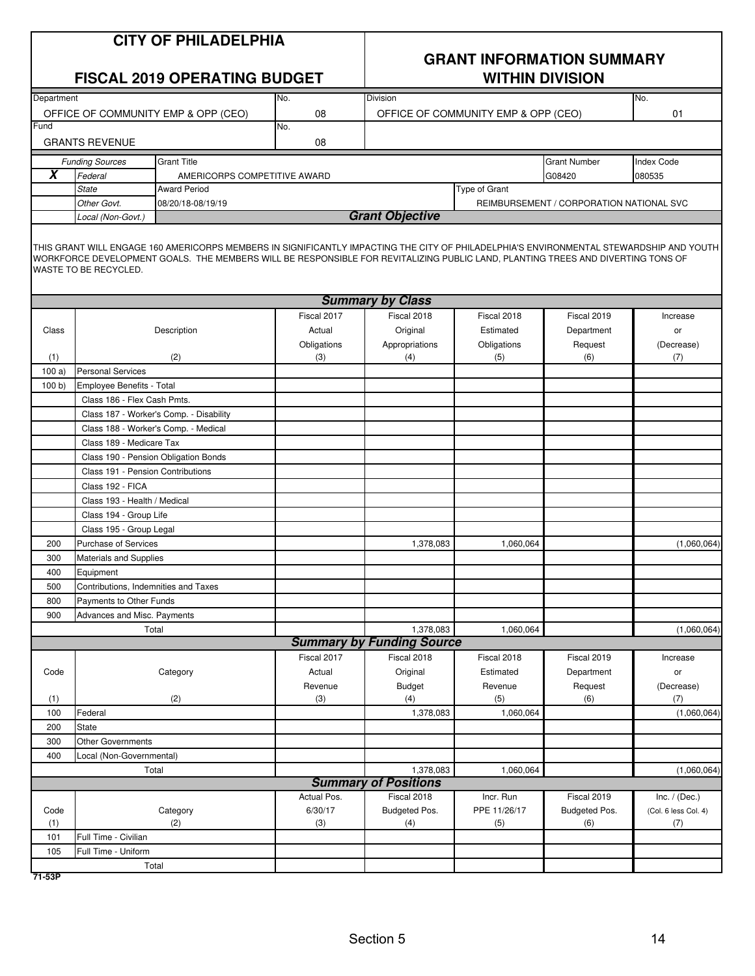# **GRANT INFORMATION SUMMARY**

|            | <b>FISCAL 2019 OPERATING BUDGET</b>  |                                         |                       |                                  | <b>WITHIN DIVISION</b>              |                       |                                                                                                                                                                                                                                                                                                                                                                                                                                                                       |  |
|------------|--------------------------------------|-----------------------------------------|-----------------------|----------------------------------|-------------------------------------|-----------------------|-----------------------------------------------------------------------------------------------------------------------------------------------------------------------------------------------------------------------------------------------------------------------------------------------------------------------------------------------------------------------------------------------------------------------------------------------------------------------|--|
| Department |                                      |                                         | No.                   | Division                         |                                     |                       | No.<br>01<br><b>Index Code</b><br>080535<br>REIMBURSEMENT / CORPORATION NATIONAL SVC<br>THIS GRANT WILL ENGAGE 160 AMERICORPS MEMBERS IN SIGNIFICANTLY IMPACTING THE CITY OF PHILADELPHIA'S ENVIRONMENTAL STEWARDSHIP AND YOUTH<br>WORKFORCE DEVELOPMENT GOALS. THE MEMBERS WILL BE RESPONSIBLE FOR REVITALIZING PUBLIC LAND, PLANTING TREES AND DIVERTING TONS OF<br>Increase<br>or<br>Request<br>(Decrease)<br>(6)<br>(7)<br>(1,060,064)<br>Fiscal 2019<br>Increase |  |
|            |                                      | OFFICE OF COMMUNITY EMP & OPP (CEO)     | 08                    |                                  | OFFICE OF COMMUNITY EMP & OPP (CEO) |                       |                                                                                                                                                                                                                                                                                                                                                                                                                                                                       |  |
| Fund       |                                      |                                         | No.                   |                                  |                                     |                       |                                                                                                                                                                                                                                                                                                                                                                                                                                                                       |  |
|            | <b>GRANTS REVENUE</b>                |                                         | 08                    |                                  |                                     |                       |                                                                                                                                                                                                                                                                                                                                                                                                                                                                       |  |
|            | <b>Funding Sources</b>               | <b>Grant Title</b>                      |                       |                                  |                                     | <b>Grant Number</b>   |                                                                                                                                                                                                                                                                                                                                                                                                                                                                       |  |
| X          | Federal                              | AMERICORPS COMPETITIVE AWARD            |                       |                                  |                                     | G08420                |                                                                                                                                                                                                                                                                                                                                                                                                                                                                       |  |
|            | <b>State</b>                         | <b>Award Period</b>                     |                       |                                  | Type of Grant                       |                       |                                                                                                                                                                                                                                                                                                                                                                                                                                                                       |  |
|            | Other Govt.                          | 08/20/18-08/19/19                       |                       |                                  |                                     |                       |                                                                                                                                                                                                                                                                                                                                                                                                                                                                       |  |
|            | Local (Non-Govt.)                    |                                         |                       | <b>Grant Objective</b>           |                                     |                       |                                                                                                                                                                                                                                                                                                                                                                                                                                                                       |  |
|            | WASTE TO BE RECYCLED.                |                                         |                       |                                  |                                     |                       |                                                                                                                                                                                                                                                                                                                                                                                                                                                                       |  |
|            |                                      |                                         |                       | <b>Summary by Class</b>          |                                     |                       |                                                                                                                                                                                                                                                                                                                                                                                                                                                                       |  |
|            |                                      |                                         | Fiscal 2017           | Fiscal 2018                      | Fiscal 2018                         | Fiscal 2019           |                                                                                                                                                                                                                                                                                                                                                                                                                                                                       |  |
| Class      |                                      | Description                             | Actual                | Original                         | Estimated                           | Department            |                                                                                                                                                                                                                                                                                                                                                                                                                                                                       |  |
|            |                                      |                                         | Obligations           | Appropriations                   | Obligations                         |                       |                                                                                                                                                                                                                                                                                                                                                                                                                                                                       |  |
| (1)        |                                      | (2)                                     | (3)                   | (4)                              | (5)                                 |                       |                                                                                                                                                                                                                                                                                                                                                                                                                                                                       |  |
| 100a       | <b>Personal Services</b>             |                                         |                       |                                  |                                     |                       |                                                                                                                                                                                                                                                                                                                                                                                                                                                                       |  |
| 100 b      | Employee Benefits - Total            |                                         |                       |                                  |                                     |                       |                                                                                                                                                                                                                                                                                                                                                                                                                                                                       |  |
|            | Class 186 - Flex Cash Pmts.          |                                         |                       |                                  |                                     |                       |                                                                                                                                                                                                                                                                                                                                                                                                                                                                       |  |
|            |                                      | Class 187 - Worker's Comp. - Disability |                       |                                  |                                     |                       |                                                                                                                                                                                                                                                                                                                                                                                                                                                                       |  |
|            |                                      | Class 188 - Worker's Comp. - Medical    |                       |                                  |                                     |                       |                                                                                                                                                                                                                                                                                                                                                                                                                                                                       |  |
|            | Class 189 - Medicare Tax             |                                         |                       |                                  |                                     |                       |                                                                                                                                                                                                                                                                                                                                                                                                                                                                       |  |
|            |                                      | Class 190 - Pension Obligation Bonds    |                       |                                  |                                     |                       |                                                                                                                                                                                                                                                                                                                                                                                                                                                                       |  |
|            | Class 191 - Pension Contributions    |                                         |                       |                                  |                                     |                       |                                                                                                                                                                                                                                                                                                                                                                                                                                                                       |  |
|            | Class 192 - FICA                     |                                         |                       |                                  |                                     |                       |                                                                                                                                                                                                                                                                                                                                                                                                                                                                       |  |
|            | Class 193 - Health / Medical         |                                         |                       |                                  |                                     |                       |                                                                                                                                                                                                                                                                                                                                                                                                                                                                       |  |
|            | Class 194 - Group Life               |                                         |                       |                                  |                                     |                       |                                                                                                                                                                                                                                                                                                                                                                                                                                                                       |  |
|            | Class 195 - Group Legal              |                                         |                       |                                  |                                     |                       |                                                                                                                                                                                                                                                                                                                                                                                                                                                                       |  |
| 200        | <b>Purchase of Services</b>          |                                         |                       | 1,378,083                        | 1,060,064                           |                       | (1,060,064)                                                                                                                                                                                                                                                                                                                                                                                                                                                           |  |
| 300        | Materials and Supplies               |                                         |                       |                                  |                                     |                       |                                                                                                                                                                                                                                                                                                                                                                                                                                                                       |  |
| 400        | Equipment                            |                                         |                       |                                  |                                     |                       |                                                                                                                                                                                                                                                                                                                                                                                                                                                                       |  |
| 500        | Contributions, Indemnities and Taxes |                                         |                       |                                  |                                     |                       |                                                                                                                                                                                                                                                                                                                                                                                                                                                                       |  |
| 800        | Payments to Other Funds              |                                         |                       |                                  |                                     |                       |                                                                                                                                                                                                                                                                                                                                                                                                                                                                       |  |
| 900        | Advances and Misc. Payments          |                                         |                       |                                  |                                     |                       |                                                                                                                                                                                                                                                                                                                                                                                                                                                                       |  |
|            |                                      | Total                                   |                       | 1,378,083                        | 1,060,064                           |                       |                                                                                                                                                                                                                                                                                                                                                                                                                                                                       |  |
|            |                                      |                                         |                       | <b>Summary by Funding Source</b> | Fiscal 2018                         |                       |                                                                                                                                                                                                                                                                                                                                                                                                                                                                       |  |
|            |                                      | Category                                | Fiscal 2017<br>Actual | Fiscal 2018<br>Original          | Estimated                           |                       |                                                                                                                                                                                                                                                                                                                                                                                                                                                                       |  |
| Code       |                                      |                                         | Revenue               |                                  | Revenue                             | Department<br>Request | or                                                                                                                                                                                                                                                                                                                                                                                                                                                                    |  |
| (1)        |                                      | (2)                                     | (3)                   | <b>Budget</b><br>(4)             | (5)                                 | (6)                   | (Decrease)<br>(7)                                                                                                                                                                                                                                                                                                                                                                                                                                                     |  |
| 100        | Federal                              |                                         |                       | 1,378,083                        | 1,060,064                           |                       | (1,060,064)                                                                                                                                                                                                                                                                                                                                                                                                                                                           |  |
| 200        | State                                |                                         |                       |                                  |                                     |                       |                                                                                                                                                                                                                                                                                                                                                                                                                                                                       |  |
| 300        | <b>Other Governments</b>             |                                         |                       |                                  |                                     |                       |                                                                                                                                                                                                                                                                                                                                                                                                                                                                       |  |
| 400        | Local (Non-Governmental)             |                                         |                       |                                  |                                     |                       |                                                                                                                                                                                                                                                                                                                                                                                                                                                                       |  |
|            |                                      | Total                                   |                       | 1,378,083                        | 1,060,064                           |                       | (1,060,064)                                                                                                                                                                                                                                                                                                                                                                                                                                                           |  |
|            |                                      |                                         |                       | <b>Summary of Positions</b>      |                                     |                       |                                                                                                                                                                                                                                                                                                                                                                                                                                                                       |  |
|            |                                      |                                         | Actual Pos.           | Fiscal 2018                      | Incr. Run                           | Fiscal 2019           | Inc. $/$ (Dec.)                                                                                                                                                                                                                                                                                                                                                                                                                                                       |  |
| Code       |                                      | Category                                | 6/30/17               | Budgeted Pos.                    | PPE 11/26/17                        | Budgeted Pos.         | (Col. 6 less Col. 4)                                                                                                                                                                                                                                                                                                                                                                                                                                                  |  |
| (1)        |                                      | (2)                                     | (3)                   | (4)                              | (5)                                 | (6)                   | (7)                                                                                                                                                                                                                                                                                                                                                                                                                                                                   |  |
| 101        | Full Time - Civilian                 |                                         |                       |                                  |                                     |                       |                                                                                                                                                                                                                                                                                                                                                                                                                                                                       |  |
| 105        | Full Time - Uniform                  |                                         |                       |                                  |                                     |                       |                                                                                                                                                                                                                                                                                                                                                                                                                                                                       |  |
|            |                                      | Total                                   |                       |                                  |                                     |                       |                                                                                                                                                                                                                                                                                                                                                                                                                                                                       |  |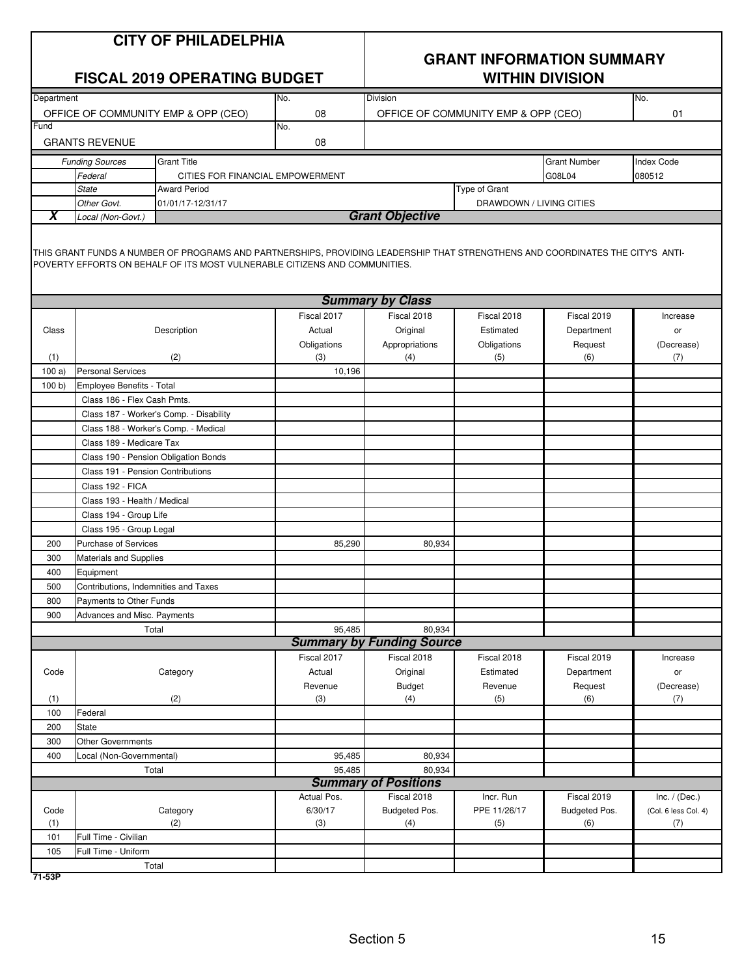|            | <b>CITY OF PHILADELPHIA</b><br><b>FISCAL 2019 OPERATING BUDGET</b> |                                                                                                                                                                                                              |                    | <b>GRANT INFORMATION SUMMARY</b><br><b>WITHIN DIVISION</b> |                                     |                     |                      |
|------------|--------------------------------------------------------------------|--------------------------------------------------------------------------------------------------------------------------------------------------------------------------------------------------------------|--------------------|------------------------------------------------------------|-------------------------------------|---------------------|----------------------|
| Department |                                                                    |                                                                                                                                                                                                              | No.                | Division                                                   |                                     |                     | No.                  |
|            |                                                                    | OFFICE OF COMMUNITY EMP & OPP (CEO)                                                                                                                                                                          | 08                 |                                                            | OFFICE OF COMMUNITY EMP & OPP (CEO) |                     | 01                   |
| Fund       | <b>GRANTS REVENUE</b>                                              |                                                                                                                                                                                                              | No.<br>08          |                                                            |                                     |                     |                      |
|            |                                                                    |                                                                                                                                                                                                              |                    |                                                            |                                     |                     |                      |
|            | <b>Funding Sources</b>                                             | <b>Grant Title</b>                                                                                                                                                                                           |                    |                                                            |                                     | <b>Grant Number</b> | <b>Index Code</b>    |
|            | Federal                                                            | CITIES FOR FINANCIAL EMPOWERMENT                                                                                                                                                                             |                    |                                                            |                                     | G08L04              | 080512               |
|            | <b>State</b>                                                       | <b>Award Period</b>                                                                                                                                                                                          |                    |                                                            | Type of Grant                       |                     |                      |
| X          | Other Govt.<br>Local (Non-Govt.)                                   | 01/01/17-12/31/17                                                                                                                                                                                            |                    | <b>Grant Objective</b>                                     | DRAWDOWN / LIVING CITIES            |                     |                      |
|            |                                                                    | THIS GRANT FUNDS A NUMBER OF PROGRAMS AND PARTNERSHIPS, PROVIDING LEADERSHIP THAT STRENGTHENS AND COORDINATES THE CITY'S ANTI-<br>POVERTY EFFORTS ON BEHALF OF ITS MOST VULNERABLE CITIZENS AND COMMUNITIES. |                    |                                                            |                                     |                     |                      |
|            |                                                                    |                                                                                                                                                                                                              |                    |                                                            |                                     |                     |                      |
|            |                                                                    |                                                                                                                                                                                                              |                    | <b>Summary by Class</b>                                    |                                     |                     |                      |
|            |                                                                    |                                                                                                                                                                                                              | Fiscal 2017        | Fiscal 2018                                                | Fiscal 2018                         | Fiscal 2019         | Increase             |
| Class      |                                                                    | Description                                                                                                                                                                                                  | Actual             | Original                                                   | Estimated                           | Department          | or                   |
| (1)        |                                                                    | (2)                                                                                                                                                                                                          | Obligations<br>(3) | Appropriations<br>(4)                                      | Obligations<br>(5)                  | Request<br>(6)      | (Decrease)<br>(7)    |
| 100a       | <b>Personal Services</b>                                           |                                                                                                                                                                                                              | 10,196             |                                                            |                                     |                     |                      |
| 100 b      | Employee Benefits - Total                                          |                                                                                                                                                                                                              |                    |                                                            |                                     |                     |                      |
|            | Class 186 - Flex Cash Pmts.                                        |                                                                                                                                                                                                              |                    |                                                            |                                     |                     |                      |
|            |                                                                    | Class 187 - Worker's Comp. - Disability                                                                                                                                                                      |                    |                                                            |                                     |                     |                      |
|            |                                                                    |                                                                                                                                                                                                              |                    |                                                            |                                     |                     |                      |
|            | Class 188 - Worker's Comp. - Medical<br>Class 189 - Medicare Tax   |                                                                                                                                                                                                              |                    |                                                            |                                     |                     |                      |
|            | Class 190 - Pension Obligation Bonds                               |                                                                                                                                                                                                              |                    |                                                            |                                     |                     |                      |
|            |                                                                    |                                                                                                                                                                                                              |                    |                                                            |                                     |                     |                      |
|            | Class 191 - Pension Contributions<br>Class 192 - FICA              |                                                                                                                                                                                                              |                    |                                                            |                                     |                     |                      |
|            | Class 193 - Health / Medical                                       |                                                                                                                                                                                                              |                    |                                                            |                                     |                     |                      |
|            | Class 194 - Group Life                                             |                                                                                                                                                                                                              |                    |                                                            |                                     |                     |                      |
|            | Class 195 - Group Legal                                            |                                                                                                                                                                                                              |                    |                                                            |                                     |                     |                      |
| 200        | Purchase of Services                                               |                                                                                                                                                                                                              | 85,290             | 80,934                                                     |                                     |                     |                      |
| 300        | Materials and Supplies                                             |                                                                                                                                                                                                              |                    |                                                            |                                     |                     |                      |
| 400        | Equipment                                                          |                                                                                                                                                                                                              |                    |                                                            |                                     |                     |                      |
| 500        |                                                                    | Contributions, Indemnities and Taxes                                                                                                                                                                         |                    |                                                            |                                     |                     |                      |
| 800        | Payments to Other Funds                                            |                                                                                                                                                                                                              |                    |                                                            |                                     |                     |                      |
| 900        | Advances and Misc. Payments                                        |                                                                                                                                                                                                              |                    |                                                            |                                     |                     |                      |
|            |                                                                    | Total                                                                                                                                                                                                        | 95,485             | 80,934                                                     |                                     |                     |                      |
|            |                                                                    |                                                                                                                                                                                                              |                    | <b>Summary by Funding Source</b>                           |                                     |                     |                      |
|            |                                                                    |                                                                                                                                                                                                              | Fiscal 2017        | Fiscal 2018                                                | Fiscal 2018                         | Fiscal 2019         | Increase             |
| Code       |                                                                    | Category                                                                                                                                                                                                     | Actual             | Original                                                   | Estimated                           | Department          | or                   |
|            |                                                                    |                                                                                                                                                                                                              | Revenue            | <b>Budget</b>                                              | Revenue                             | Request             | (Decrease)           |
| (1)        |                                                                    | (2)                                                                                                                                                                                                          | (3)                | (4)                                                        | (5)                                 | (6)                 | (7)                  |
| 100        | Federal                                                            |                                                                                                                                                                                                              |                    |                                                            |                                     |                     |                      |
| 200        | <b>State</b>                                                       |                                                                                                                                                                                                              |                    |                                                            |                                     |                     |                      |
| 300        | <b>Other Governments</b>                                           |                                                                                                                                                                                                              |                    |                                                            |                                     |                     |                      |
| 400        | Local (Non-Governmental)                                           |                                                                                                                                                                                                              | 95,485             | 80,934                                                     |                                     |                     |                      |
|            |                                                                    | Total                                                                                                                                                                                                        | 95,485             | 80,934                                                     |                                     |                     |                      |
|            |                                                                    |                                                                                                                                                                                                              |                    | <b>Summary of Positions</b>                                |                                     |                     |                      |
|            |                                                                    |                                                                                                                                                                                                              | Actual Pos.        | Fiscal 2018                                                | Incr. Run                           | Fiscal 2019         | Inc. $/$ (Dec.)      |
| Code       |                                                                    | Category                                                                                                                                                                                                     | 6/30/17            | Budgeted Pos.                                              | PPE 11/26/17                        | Budgeted Pos.       | (Col. 6 less Col. 4) |
| (1)        |                                                                    | (2)                                                                                                                                                                                                          | (3)                | (4)                                                        | (5)                                 | (6)                 | (7)                  |
| 101        | Full Time - Civilian                                               |                                                                                                                                                                                                              |                    |                                                            |                                     |                     |                      |
| 105        | Full Time - Uniform                                                |                                                                                                                                                                                                              |                    |                                                            |                                     |                     |                      |
|            |                                                                    | Total                                                                                                                                                                                                        |                    |                                                            |                                     |                     |                      |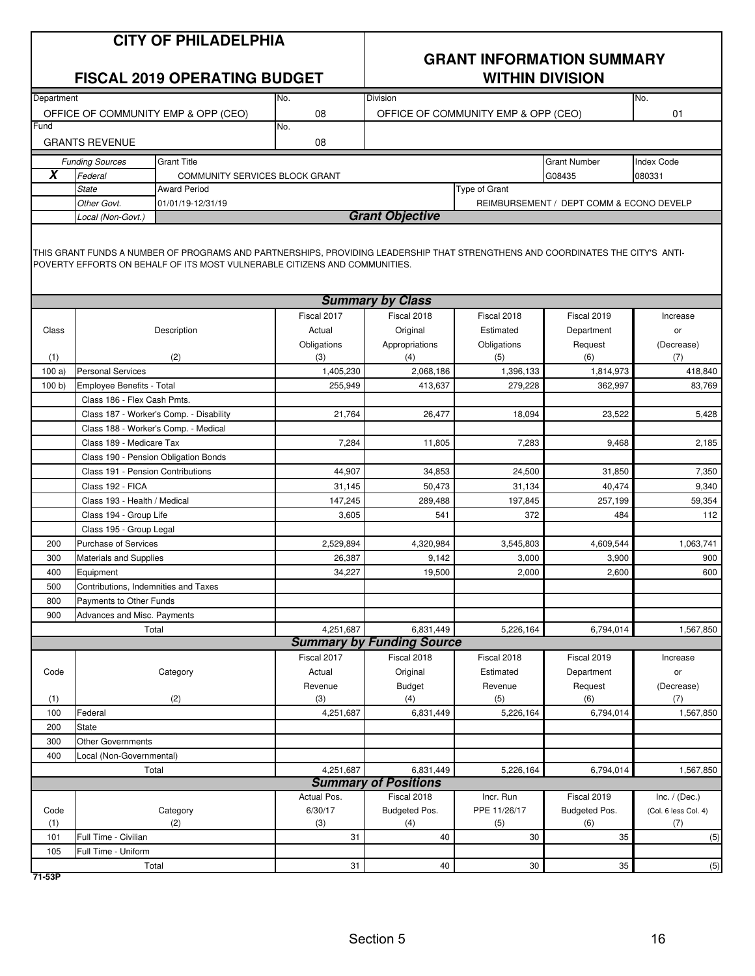|            | <b>CITY OF PHILADELPHIA</b><br><b>FISCAL 2019 OPERATING BUDGET</b><br>No. |                                                                                                                                |             |                                  | <b>GRANT INFORMATION SUMMARY</b><br><b>WITHIN DIVISION</b> |                                          |                      |  |
|------------|---------------------------------------------------------------------------|--------------------------------------------------------------------------------------------------------------------------------|-------------|----------------------------------|------------------------------------------------------------|------------------------------------------|----------------------|--|
| Department |                                                                           |                                                                                                                                | 08          | <b>Division</b>                  |                                                            |                                          | No.                  |  |
| Fund       | OFFICE OF COMMUNITY EMP & OPP (CEO)<br>No.                                |                                                                                                                                |             |                                  | OFFICE OF COMMUNITY EMP & OPP (CEO)                        |                                          | 01                   |  |
|            | <b>GRANTS REVENUE</b>                                                     |                                                                                                                                | 08          |                                  |                                                            |                                          |                      |  |
|            | <b>Funding Sources</b>                                                    | <b>Grant Title</b>                                                                                                             |             |                                  |                                                            | <b>Grant Number</b>                      | <b>Index Code</b>    |  |
| X          | Federal                                                                   | COMMUNITY SERVICES BLOCK GRANT                                                                                                 |             |                                  |                                                            | G08435                                   | 080331               |  |
|            | <b>State</b>                                                              | <b>Award Period</b>                                                                                                            |             |                                  | Type of Grant                                              |                                          |                      |  |
|            | Other Govt.                                                               | 01/01/19-12/31/19                                                                                                              |             |                                  |                                                            | REIMBURSEMENT / DEPT COMM & ECONO DEVELP |                      |  |
|            | Local (Non-Govt.)                                                         | THIS GRANT FUNDS A NUMBER OF PROGRAMS AND PARTNERSHIPS, PROVIDING LEADERSHIP THAT STRENGTHENS AND COORDINATES THE CITY'S ANTI- |             | <b>Grant Objective</b>           |                                                            |                                          |                      |  |
|            |                                                                           | POVERTY EFFORTS ON BEHALF OF ITS MOST VULNERABLE CITIZENS AND COMMUNITIES.                                                     |             | <b>Summary by Class</b>          |                                                            |                                          |                      |  |
|            |                                                                           |                                                                                                                                | Fiscal 2017 | Fiscal 2018                      | Fiscal 2018                                                | Fiscal 2019                              | Increase             |  |
| Class      |                                                                           | Description                                                                                                                    | Actual      | Original                         | Estimated                                                  | Department                               | or                   |  |
|            |                                                                           |                                                                                                                                | Obligations | Appropriations                   | Obligations                                                | Request                                  | (Decrease)           |  |
| (1)        |                                                                           | (2)                                                                                                                            | (3)         | (4)                              | (5)                                                        | (6)                                      | (7)                  |  |
| 100a       | <b>Personal Services</b>                                                  |                                                                                                                                | 1,405,230   | 2,068,186                        | 1,396,133                                                  | 1,814,973                                | 418,840              |  |
| 100 b      | Employee Benefits - Total                                                 |                                                                                                                                | 255,949     | 413,637                          | 279,228                                                    | 362,997                                  | 83,769               |  |
|            | Class 186 - Flex Cash Pmts.                                               |                                                                                                                                |             |                                  |                                                            |                                          |                      |  |
|            | Class 187 - Worker's Comp. - Disability                                   |                                                                                                                                | 21,764      | 26,477                           | 18,094                                                     | 23,522                                   | 5,428                |  |
|            | Class 188 - Worker's Comp. - Medical                                      |                                                                                                                                |             |                                  |                                                            |                                          |                      |  |
|            | Class 189 - Medicare Tax                                                  |                                                                                                                                | 7,284       | 11,805                           | 7,283                                                      | 9,468                                    | 2,185                |  |
|            | Class 190 - Pension Obligation Bonds                                      |                                                                                                                                |             |                                  |                                                            |                                          |                      |  |
|            | Class 191 - Pension Contributions                                         |                                                                                                                                | 44,907      | 34,853                           | 24,500                                                     | 31,850                                   | 7,350                |  |
|            | Class 192 - FICA                                                          |                                                                                                                                | 31,145      | 50,473                           | 31,134                                                     | 40,474                                   | 9,340                |  |
|            | Class 193 - Health / Medical                                              |                                                                                                                                | 147,245     | 289,488                          | 197,845                                                    | 257,199                                  | 59,354               |  |
|            | Class 194 - Group Life                                                    |                                                                                                                                | 3,605       | 541                              | 372                                                        | 484                                      | 112                  |  |
|            | Class 195 - Group Legal                                                   |                                                                                                                                |             |                                  |                                                            |                                          |                      |  |
| 200        | <b>Purchase of Services</b>                                               |                                                                                                                                | 2,529,894   | 4,320,984                        | 3,545,803                                                  | 4,609,544                                | 1,063,741            |  |
| 300        | <b>Materials and Supplies</b>                                             |                                                                                                                                | 26,387      | 9,142                            | 3,000                                                      | 3,900                                    | 900                  |  |
| 400        | Equipment                                                                 |                                                                                                                                | 34,227      | 19,500                           | 2,000                                                      | 2,600                                    | 600                  |  |
| 500        | Contributions, Indemnities and Taxes                                      |                                                                                                                                |             |                                  |                                                            |                                          |                      |  |
| 800        | Payments to Other Funds                                                   |                                                                                                                                |             |                                  |                                                            |                                          |                      |  |
| 900        | Advances and Misc. Payments                                               |                                                                                                                                |             |                                  |                                                            |                                          |                      |  |
|            |                                                                           | Total                                                                                                                          | 4,251,687   | 6,831,449                        | 5,226,164                                                  | 6,794,014                                | 1,567,850            |  |
|            |                                                                           |                                                                                                                                |             | <b>Summary by Funding Source</b> |                                                            |                                          |                      |  |
|            |                                                                           |                                                                                                                                | Fiscal 2017 | Fiscal 2018                      | Fiscal 2018                                                | Fiscal 2019                              | Increase             |  |
| Code       |                                                                           | Category                                                                                                                       | Actual      | Original                         | Estimated                                                  | Department                               | or                   |  |
|            |                                                                           |                                                                                                                                | Revenue     | <b>Budget</b>                    | Revenue                                                    | Request                                  | (Decrease)           |  |
| (1)        |                                                                           | (2)                                                                                                                            | (3)         | (4)                              | (5)                                                        | (6)                                      | (7)                  |  |
| 100        | Federal                                                                   |                                                                                                                                | 4,251,687   | 6,831,449                        | 5,226,164                                                  | 6,794,014                                | 1,567,850            |  |
| 200        | <b>State</b>                                                              |                                                                                                                                |             |                                  |                                                            |                                          |                      |  |
| 300        | <b>Other Governments</b>                                                  |                                                                                                                                |             |                                  |                                                            |                                          |                      |  |
| 400        | Local (Non-Governmental)                                                  |                                                                                                                                | 4,251,687   | 6,831,449                        |                                                            |                                          |                      |  |
|            | Total                                                                     |                                                                                                                                |             | <b>Summary of Positions</b>      | 5,226,164                                                  | 6,794,014                                | 1,567,850            |  |
|            |                                                                           |                                                                                                                                | Actual Pos. | Fiscal 2018                      | Incr. Run                                                  | Fiscal 2019                              | Inc. $/$ (Dec.)      |  |
| Code       |                                                                           | Category                                                                                                                       | 6/30/17     | Budgeted Pos.                    | PPE 11/26/17                                               | Budgeted Pos.                            | (Col. 6 less Col. 4) |  |
| (1)        |                                                                           | (2)                                                                                                                            | (3)         | (4)                              | (5)                                                        | (6)                                      | (7)                  |  |
| 101        | Full Time - Civilian                                                      |                                                                                                                                | 31          | 40                               | 30                                                         | 35                                       | (5)                  |  |
| 105        | Full Time - Uniform                                                       |                                                                                                                                |             |                                  |                                                            |                                          |                      |  |
|            | Total                                                                     |                                                                                                                                | 31          | 40                               | 30                                                         | 35                                       | (5)                  |  |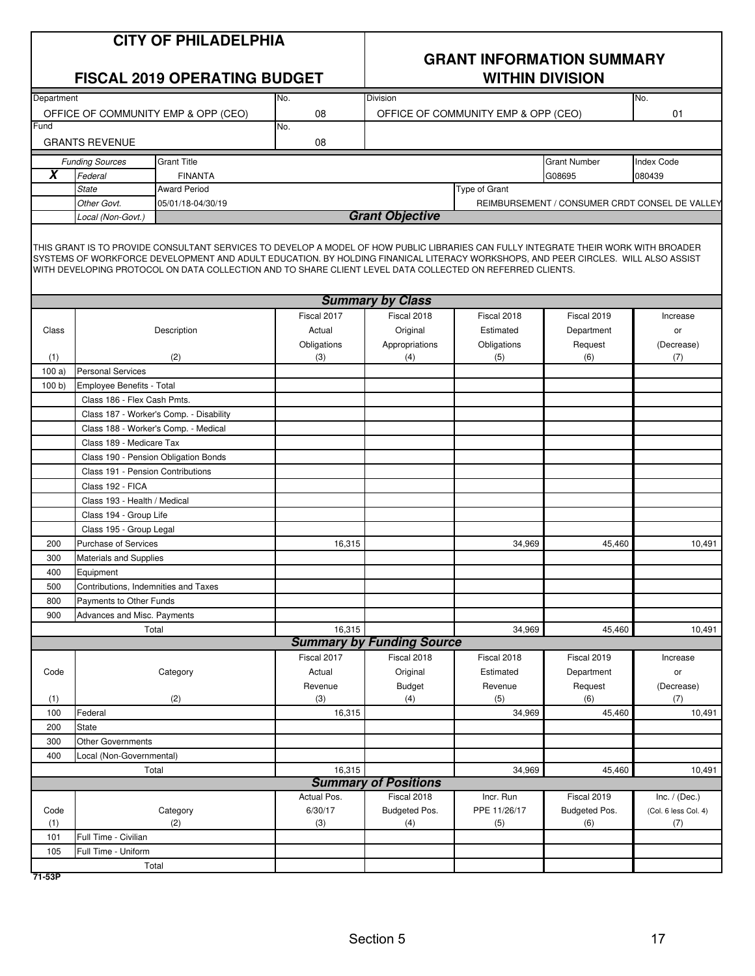|                         |                                         | <b>CITY OF PHILADELPHIA</b><br><b>FISCAL 2019 OPERATING BUDGET</b>                                                                                                                                                                                                                                                                                                                    |                       | <b>GRANT INFORMATION SUMMARY</b><br><b>WITHIN DIVISION</b><br><b>Division</b><br>No. |                                     |                                                |                      |  |
|-------------------------|-----------------------------------------|---------------------------------------------------------------------------------------------------------------------------------------------------------------------------------------------------------------------------------------------------------------------------------------------------------------------------------------------------------------------------------------|-----------------------|--------------------------------------------------------------------------------------|-------------------------------------|------------------------------------------------|----------------------|--|
| Department              |                                         | OFFICE OF COMMUNITY EMP & OPP (CEO)                                                                                                                                                                                                                                                                                                                                                   | No.<br>08             |                                                                                      | OFFICE OF COMMUNITY EMP & OPP (CEO) |                                                | 01                   |  |
| Fund                    |                                         |                                                                                                                                                                                                                                                                                                                                                                                       | No.                   |                                                                                      |                                     |                                                |                      |  |
|                         | <b>GRANTS REVENUE</b>                   |                                                                                                                                                                                                                                                                                                                                                                                       | 08                    |                                                                                      |                                     |                                                |                      |  |
|                         | <b>Funding Sources</b>                  | <b>Grant Title</b>                                                                                                                                                                                                                                                                                                                                                                    |                       |                                                                                      |                                     | <b>Grant Number</b>                            | <b>Index Code</b>    |  |
| $\overline{\mathbf{X}}$ | Federal                                 | <b>FINANTA</b>                                                                                                                                                                                                                                                                                                                                                                        |                       |                                                                                      |                                     | G08695                                         | 080439               |  |
|                         | <b>State</b>                            | <b>Award Period</b>                                                                                                                                                                                                                                                                                                                                                                   |                       |                                                                                      | Type of Grant                       |                                                |                      |  |
|                         | Other Govt.<br>Local (Non-Govt.)        | 05/01/18-04/30/19                                                                                                                                                                                                                                                                                                                                                                     |                       | <b>Grant Objective</b>                                                               |                                     | REIMBURSEMENT / CONSUMER CRDT CONSEL DE VALLEY |                      |  |
|                         |                                         | THIS GRANT IS TO PROVIDE CONSULTANT SERVICES TO DEVELOP A MODEL OF HOW PUBLIC LIBRARIES CAN FULLY INTEGRATE THEIR WORK WITH BROADER<br>SYSTEMS OF WORKFORCE DEVELOPMENT AND ADULT EDUCATION. BY HOLDING FINANICAL LITERACY WORKSHOPS, AND PEER CIRCLES. WILL ALSO ASSIST<br>WITH DEVELOPING PROTOCOL ON DATA COLLECTION AND TO SHARE CLIENT LEVEL DATA COLLECTED ON REFERRED CLIENTS. |                       |                                                                                      |                                     |                                                |                      |  |
|                         |                                         |                                                                                                                                                                                                                                                                                                                                                                                       |                       | <b>Summary by Class</b>                                                              |                                     |                                                |                      |  |
|                         |                                         |                                                                                                                                                                                                                                                                                                                                                                                       | Fiscal 2017           | Fiscal 2018                                                                          | Fiscal 2018                         | Fiscal 2019                                    | Increase             |  |
| Class                   |                                         | Description                                                                                                                                                                                                                                                                                                                                                                           | Actual<br>Obligations | Original<br>Appropriations                                                           | Estimated<br>Obligations            | Department<br>Request                          | or<br>(Decrease)     |  |
| (1)                     |                                         | (2)                                                                                                                                                                                                                                                                                                                                                                                   | (3)                   | (4)                                                                                  | (5)                                 | (6)                                            | (7)                  |  |
| 100a                    | <b>Personal Services</b>                |                                                                                                                                                                                                                                                                                                                                                                                       |                       |                                                                                      |                                     |                                                |                      |  |
| 100 b)                  | Employee Benefits - Total               |                                                                                                                                                                                                                                                                                                                                                                                       |                       |                                                                                      |                                     |                                                |                      |  |
|                         | Class 186 - Flex Cash Pmts.             |                                                                                                                                                                                                                                                                                                                                                                                       |                       |                                                                                      |                                     |                                                |                      |  |
|                         | Class 187 - Worker's Comp. - Disability |                                                                                                                                                                                                                                                                                                                                                                                       |                       |                                                                                      |                                     |                                                |                      |  |
|                         | Class 188 - Worker's Comp. - Medical    |                                                                                                                                                                                                                                                                                                                                                                                       |                       |                                                                                      |                                     |                                                |                      |  |
|                         | Class 189 - Medicare Tax                |                                                                                                                                                                                                                                                                                                                                                                                       |                       |                                                                                      |                                     |                                                |                      |  |
|                         | Class 190 - Pension Obligation Bonds    |                                                                                                                                                                                                                                                                                                                                                                                       |                       |                                                                                      |                                     |                                                |                      |  |
|                         | Class 191 - Pension Contributions       |                                                                                                                                                                                                                                                                                                                                                                                       |                       |                                                                                      |                                     |                                                |                      |  |
|                         | Class 192 - FICA                        |                                                                                                                                                                                                                                                                                                                                                                                       |                       |                                                                                      |                                     |                                                |                      |  |
|                         | Class 193 - Health / Medical            |                                                                                                                                                                                                                                                                                                                                                                                       |                       |                                                                                      |                                     |                                                |                      |  |
|                         | Class 194 - Group Life                  |                                                                                                                                                                                                                                                                                                                                                                                       |                       |                                                                                      |                                     |                                                |                      |  |
|                         | Class 195 - Group Legal                 |                                                                                                                                                                                                                                                                                                                                                                                       |                       |                                                                                      |                                     |                                                |                      |  |
| 200                     | Purchase of Services                    |                                                                                                                                                                                                                                                                                                                                                                                       | 16,315                |                                                                                      | 34,969                              | 45,460                                         | 10.491               |  |
| 300<br>400              | Materials and Supplies<br>Equipment     |                                                                                                                                                                                                                                                                                                                                                                                       |                       |                                                                                      |                                     |                                                |                      |  |
| 500                     | Contributions, Indemnities and Taxes    |                                                                                                                                                                                                                                                                                                                                                                                       |                       |                                                                                      |                                     |                                                |                      |  |
| 800                     | Payments to Other Funds                 |                                                                                                                                                                                                                                                                                                                                                                                       |                       |                                                                                      |                                     |                                                |                      |  |
| 900                     | Advances and Misc. Payments             |                                                                                                                                                                                                                                                                                                                                                                                       |                       |                                                                                      |                                     |                                                |                      |  |
|                         | Total                                   |                                                                                                                                                                                                                                                                                                                                                                                       | 16,315                |                                                                                      | 34,969                              | 45,460                                         | 10,491               |  |
|                         |                                         |                                                                                                                                                                                                                                                                                                                                                                                       |                       | <b>Summary by Funding Source</b>                                                     |                                     |                                                |                      |  |
|                         |                                         |                                                                                                                                                                                                                                                                                                                                                                                       | Fiscal 2017           | Fiscal 2018                                                                          | Fiscal 2018                         | Fiscal 2019                                    | Increase             |  |
| Code                    |                                         | Category                                                                                                                                                                                                                                                                                                                                                                              | Actual                | Original                                                                             | Estimated                           | Department                                     | or                   |  |
|                         |                                         |                                                                                                                                                                                                                                                                                                                                                                                       | Revenue               | <b>Budget</b>                                                                        | Revenue                             | Request                                        | (Decrease)           |  |
| (1)                     |                                         | (2)                                                                                                                                                                                                                                                                                                                                                                                   | (3)                   | (4)                                                                                  | (5)                                 | (6)                                            | (7)                  |  |
| 100                     | Federal                                 |                                                                                                                                                                                                                                                                                                                                                                                       | 16,315                |                                                                                      | 34,969                              | 45,460                                         | 10,491               |  |
| 200                     | <b>State</b>                            |                                                                                                                                                                                                                                                                                                                                                                                       |                       |                                                                                      |                                     |                                                |                      |  |
| 300<br>400              | Other Governments                       |                                                                                                                                                                                                                                                                                                                                                                                       |                       |                                                                                      |                                     |                                                |                      |  |
|                         | Local (Non-Governmental)<br>Total       |                                                                                                                                                                                                                                                                                                                                                                                       | 16,315                |                                                                                      | 34,969                              | 45,460                                         | 10,491               |  |
|                         |                                         |                                                                                                                                                                                                                                                                                                                                                                                       |                       | <b>Summary of Positions</b>                                                          |                                     |                                                |                      |  |
|                         |                                         |                                                                                                                                                                                                                                                                                                                                                                                       | Actual Pos.           | Fiscal 2018                                                                          | Incr. Run                           | Fiscal 2019                                    | Inc. $/$ (Dec.)      |  |
| Code                    |                                         | Category                                                                                                                                                                                                                                                                                                                                                                              | 6/30/17               | Budgeted Pos.                                                                        | PPE 11/26/17                        | Budgeted Pos.                                  | (Col. 6 less Col. 4) |  |
| (1)                     |                                         | (2)                                                                                                                                                                                                                                                                                                                                                                                   | (3)                   | (4)                                                                                  | (5)                                 | (6)                                            | (7)                  |  |
| 101                     | Full Time - Civilian                    |                                                                                                                                                                                                                                                                                                                                                                                       |                       |                                                                                      |                                     |                                                |                      |  |
| 105                     | Full Time - Uniform                     |                                                                                                                                                                                                                                                                                                                                                                                       |                       |                                                                                      |                                     |                                                |                      |  |
|                         | Total                                   |                                                                                                                                                                                                                                                                                                                                                                                       |                       |                                                                                      |                                     |                                                |                      |  |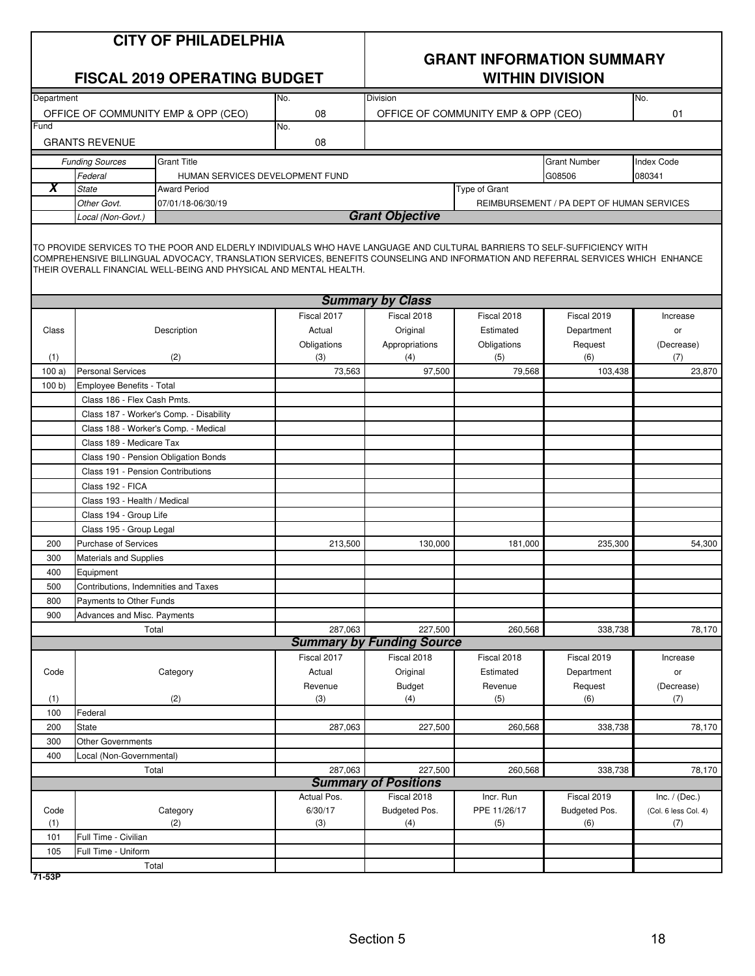| <b>CITY OF PHILADELPHIA</b> |  |
|-----------------------------|--|
|-----------------------------|--|

# **GRANT INFORMATION SUMMARY**

| <b>FISCAL 2019 OPERATING BUDGET</b> |                                      |                                                                                                                                                                                                                                                                                                                                    |             | <b>WITHIN DIVISION</b>           |                                     |                                           |                      |
|-------------------------------------|--------------------------------------|------------------------------------------------------------------------------------------------------------------------------------------------------------------------------------------------------------------------------------------------------------------------------------------------------------------------------------|-------------|----------------------------------|-------------------------------------|-------------------------------------------|----------------------|
| Department                          |                                      |                                                                                                                                                                                                                                                                                                                                    | No.         | Division                         |                                     |                                           | No.                  |
|                                     |                                      | OFFICE OF COMMUNITY EMP & OPP (CEO)                                                                                                                                                                                                                                                                                                | 08          |                                  | OFFICE OF COMMUNITY EMP & OPP (CEO) |                                           | 01                   |
| Fund                                |                                      |                                                                                                                                                                                                                                                                                                                                    | No.         |                                  |                                     |                                           |                      |
|                                     | <b>GRANTS REVENUE</b>                |                                                                                                                                                                                                                                                                                                                                    | 08          |                                  |                                     |                                           |                      |
|                                     | <b>Funding Sources</b>               | <b>Grant Title</b>                                                                                                                                                                                                                                                                                                                 |             |                                  |                                     | <b>Grant Number</b>                       | <b>Index Code</b>    |
|                                     | Federal                              | HUMAN SERVICES DEVELOPMENT FUND                                                                                                                                                                                                                                                                                                    |             |                                  |                                     | G08506                                    | 080341               |
| X                                   | <b>State</b>                         | <b>Award Period</b>                                                                                                                                                                                                                                                                                                                |             |                                  | Type of Grant                       |                                           |                      |
|                                     | Other Govt.                          | 07/01/18-06/30/19                                                                                                                                                                                                                                                                                                                  |             |                                  |                                     | REIMBURSEMENT / PA DEPT OF HUMAN SERVICES |                      |
|                                     | Local (Non-Govt.)                    |                                                                                                                                                                                                                                                                                                                                    |             | <b>Grant Objective</b>           |                                     |                                           |                      |
|                                     |                                      | TO PROVIDE SERVICES TO THE POOR AND ELDERLY INDIVIDUALS WHO HAVE LANGUAGE AND CULTURAL BARRIERS TO SELF-SUFFICIENCY WITH<br>COMPREHENSIVE BILLINGUAL ADVOCACY, TRANSLATION SERVICES, BENEFITS COUNSELING AND INFORMATION AND REFERRAL SERVICES WHICH ENHANCE<br>THEIR OVERALL FINANCIAL WELL-BEING AND PHYSICAL AND MENTAL HEALTH. |             |                                  |                                     |                                           |                      |
|                                     |                                      |                                                                                                                                                                                                                                                                                                                                    |             | <b>Summary by Class</b>          |                                     |                                           |                      |
|                                     |                                      |                                                                                                                                                                                                                                                                                                                                    | Fiscal 2017 | Fiscal 2018                      | Fiscal 2018                         | Fiscal 2019                               | Increase             |
| Class                               |                                      | Description                                                                                                                                                                                                                                                                                                                        | Actual      | Original                         | Estimated                           | Department                                | or                   |
|                                     |                                      |                                                                                                                                                                                                                                                                                                                                    | Obligations | Appropriations                   | Obligations                         | Request                                   | (Decrease)           |
| (1)                                 |                                      | (2)                                                                                                                                                                                                                                                                                                                                | (3)         | (4)                              | (5)                                 | (6)                                       | (7)                  |
| 100a                                | <b>Personal Services</b>             |                                                                                                                                                                                                                                                                                                                                    | 73,563      | 97,500                           | 79,568                              | 103,438                                   | 23,870               |
| 100 b                               | Employee Benefits - Total            |                                                                                                                                                                                                                                                                                                                                    |             |                                  |                                     |                                           |                      |
|                                     | Class 186 - Flex Cash Pmts.          |                                                                                                                                                                                                                                                                                                                                    |             |                                  |                                     |                                           |                      |
|                                     |                                      | Class 187 - Worker's Comp. - Disability                                                                                                                                                                                                                                                                                            |             |                                  |                                     |                                           |                      |
|                                     |                                      | Class 188 - Worker's Comp. - Medical                                                                                                                                                                                                                                                                                               |             |                                  |                                     |                                           |                      |
|                                     | Class 189 - Medicare Tax             |                                                                                                                                                                                                                                                                                                                                    |             |                                  |                                     |                                           |                      |
|                                     |                                      | Class 190 - Pension Obligation Bonds                                                                                                                                                                                                                                                                                               |             |                                  |                                     |                                           |                      |
|                                     | Class 191 - Pension Contributions    |                                                                                                                                                                                                                                                                                                                                    |             |                                  |                                     |                                           |                      |
|                                     | Class 192 - FICA                     |                                                                                                                                                                                                                                                                                                                                    |             |                                  |                                     |                                           |                      |
|                                     | Class 193 - Health / Medical         |                                                                                                                                                                                                                                                                                                                                    |             |                                  |                                     |                                           |                      |
|                                     | Class 194 - Group Life               |                                                                                                                                                                                                                                                                                                                                    |             |                                  |                                     |                                           |                      |
|                                     | Class 195 - Group Legal              |                                                                                                                                                                                                                                                                                                                                    |             |                                  |                                     |                                           |                      |
| 200                                 | <b>Purchase of Services</b>          |                                                                                                                                                                                                                                                                                                                                    | 213,500     | 130,000                          | 181,000                             | 235,300                                   | 54,300               |
| 300                                 | Materials and Supplies               |                                                                                                                                                                                                                                                                                                                                    |             |                                  |                                     |                                           |                      |
| 400                                 | Equipment                            |                                                                                                                                                                                                                                                                                                                                    |             |                                  |                                     |                                           |                      |
| 500                                 | Contributions, Indemnities and Taxes |                                                                                                                                                                                                                                                                                                                                    |             |                                  |                                     |                                           |                      |
| 800                                 | Payments to Other Funds              |                                                                                                                                                                                                                                                                                                                                    |             |                                  |                                     |                                           |                      |
| 900                                 | Advances and Misc. Payments          |                                                                                                                                                                                                                                                                                                                                    |             |                                  |                                     |                                           |                      |
|                                     |                                      | Total                                                                                                                                                                                                                                                                                                                              | 287,063     | 227,500                          | 260,568                             | 338,738                                   | 78,170               |
|                                     |                                      |                                                                                                                                                                                                                                                                                                                                    |             | <b>Summary by Funding Source</b> |                                     |                                           |                      |
|                                     |                                      |                                                                                                                                                                                                                                                                                                                                    | Fiscal 2017 | Fiscal 2018                      | Fiscal 2018                         | Fiscal 2019                               | Increase             |
| Code                                |                                      | Category                                                                                                                                                                                                                                                                                                                           | Actual      | Original                         | Estimated                           | Department                                | or                   |
|                                     |                                      |                                                                                                                                                                                                                                                                                                                                    | Revenue     | <b>Budget</b>                    | Revenue                             | Request                                   | (Decrease)           |
| (1)                                 |                                      | (2)                                                                                                                                                                                                                                                                                                                                | (3)         | (4)                              | (5)                                 | (6)                                       | (7)                  |
| 100                                 | Federal                              |                                                                                                                                                                                                                                                                                                                                    |             |                                  |                                     |                                           |                      |
| 200                                 | State                                |                                                                                                                                                                                                                                                                                                                                    | 287,063     | 227,500                          | 260,568                             | 338,738                                   | 78,170               |
| 300                                 | <b>Other Governments</b>             |                                                                                                                                                                                                                                                                                                                                    |             |                                  |                                     |                                           |                      |
| 400                                 | Local (Non-Governmental)             |                                                                                                                                                                                                                                                                                                                                    |             |                                  |                                     |                                           |                      |
|                                     |                                      | Total                                                                                                                                                                                                                                                                                                                              | 287,063     | 227,500                          | 260,568                             | 338,738                                   | 78,170               |
|                                     |                                      |                                                                                                                                                                                                                                                                                                                                    |             | <b>Summary of Positions</b>      |                                     |                                           |                      |
|                                     |                                      |                                                                                                                                                                                                                                                                                                                                    | Actual Pos. | Fiscal 2018                      | Incr. Run                           | Fiscal 2019                               | Inc. $/$ (Dec.)      |
| Code<br>(1)                         |                                      | Category                                                                                                                                                                                                                                                                                                                           | 6/30/17     | Budgeted Pos.                    | PPE 11/26/17                        | Budgeted Pos.                             | (Col. 6 less Col. 4) |
| 101                                 | Full Time - Civilian                 | (2)                                                                                                                                                                                                                                                                                                                                | (3)         | (4)                              | (5)                                 | (6)                                       | (7)                  |
| 105                                 | Full Time - Uniform                  |                                                                                                                                                                                                                                                                                                                                    |             |                                  |                                     |                                           |                      |
|                                     |                                      | Total                                                                                                                                                                                                                                                                                                                              |             |                                  |                                     |                                           |                      |
|                                     |                                      |                                                                                                                                                                                                                                                                                                                                    |             |                                  |                                     |                                           |                      |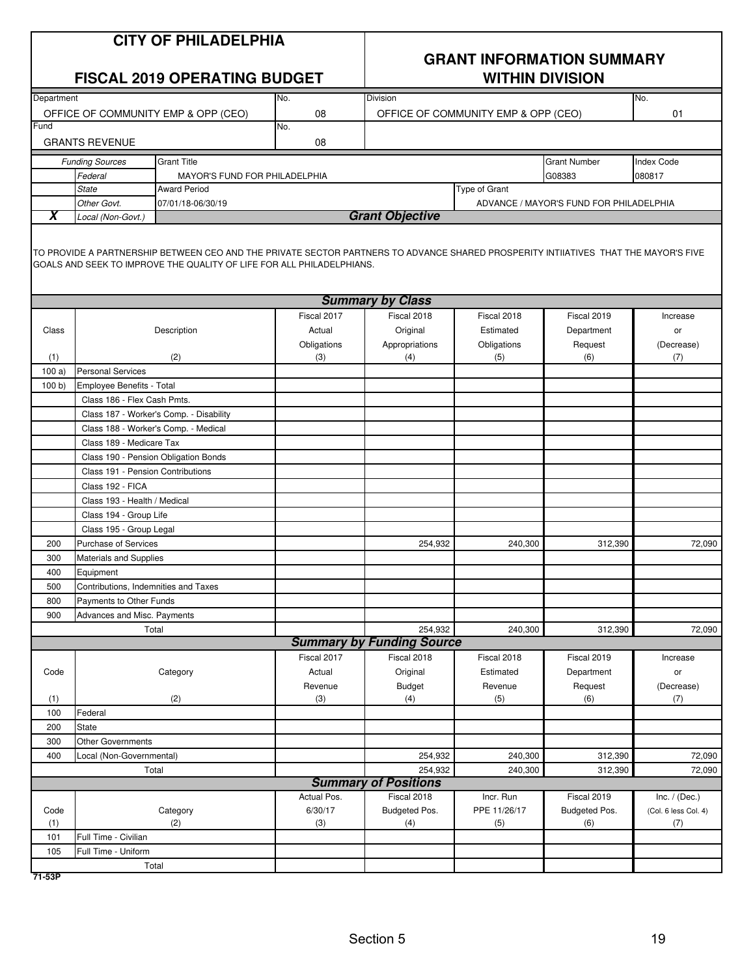|                         |                                                                                                          | <b>CITY OF PHILADELPHIA</b><br><b>FISCAL 2019 OPERATING BUDGET</b>                                                                                                                                           |                        | <b>GRANT INFORMATION SUMMARY</b><br><b>WITHIN DIVISION</b> |                                     |                                         |                                         |
|-------------------------|----------------------------------------------------------------------------------------------------------|--------------------------------------------------------------------------------------------------------------------------------------------------------------------------------------------------------------|------------------------|------------------------------------------------------------|-------------------------------------|-----------------------------------------|-----------------------------------------|
| Department              |                                                                                                          | OFFICE OF COMMUNITY EMP & OPP (CEO)                                                                                                                                                                          | No.<br>08              | Division                                                   | OFFICE OF COMMUNITY EMP & OPP (CEO) |                                         | No.<br>01                               |
| Fund                    |                                                                                                          |                                                                                                                                                                                                              | No.                    |                                                            |                                     |                                         |                                         |
|                         | <b>GRANTS REVENUE</b>                                                                                    |                                                                                                                                                                                                              | 08                     |                                                            |                                     |                                         |                                         |
|                         |                                                                                                          |                                                                                                                                                                                                              |                        |                                                            |                                     |                                         |                                         |
|                         | <b>Funding Sources</b>                                                                                   | <b>Grant Title</b>                                                                                                                                                                                           |                        |                                                            |                                     | <b>Grant Number</b>                     | <b>Index Code</b>                       |
|                         | Federal<br><b>State</b>                                                                                  | <b>MAYOR'S FUND FOR PHILADELPHIA</b><br><b>Award Period</b>                                                                                                                                                  |                        |                                                            | Type of Grant                       | G08383                                  | 080817                                  |
|                         | Other Govt.                                                                                              | 07/01/18-06/30/19                                                                                                                                                                                            |                        |                                                            |                                     | ADVANCE / MAYOR'S FUND FOR PHILADELPHIA |                                         |
| $\overline{\textbf{x}}$ | Local (Non-Govt.)                                                                                        |                                                                                                                                                                                                              |                        | <b>Grant Objective</b>                                     |                                     |                                         |                                         |
|                         |                                                                                                          | TO PROVIDE A PARTNERSHIP BETWEEN CEO AND THE PRIVATE SECTOR PARTNERS TO ADVANCE SHARED PROSPERITY INTIIATIVES THAT THE MAYOR'S FIVE<br>GOALS AND SEEK TO IMPROVE THE QUALITY OF LIFE FOR ALL PHILADELPHIANS. |                        |                                                            |                                     |                                         |                                         |
|                         |                                                                                                          |                                                                                                                                                                                                              |                        | <b>Summary by Class</b>                                    |                                     |                                         |                                         |
|                         |                                                                                                          |                                                                                                                                                                                                              | Fiscal 2017            | Fiscal 2018                                                | Fiscal 2018                         | Fiscal 2019                             | Increase                                |
| Class                   |                                                                                                          | Description                                                                                                                                                                                                  | Actual                 | Original                                                   | Estimated                           | Department                              | or                                      |
| (1)                     |                                                                                                          | (2)                                                                                                                                                                                                          | Obligations<br>(3)     | Appropriations<br>(4)                                      | Obligations<br>(5)                  | Request<br>(6)                          | (Decrease)<br>(7)                       |
| 100a                    | <b>Personal Services</b>                                                                                 |                                                                                                                                                                                                              |                        |                                                            |                                     |                                         |                                         |
| 100 b                   | Employee Benefits - Total                                                                                |                                                                                                                                                                                                              |                        |                                                            |                                     |                                         |                                         |
|                         | Class 186 - Flex Cash Pmts.                                                                              |                                                                                                                                                                                                              |                        |                                                            |                                     |                                         |                                         |
|                         |                                                                                                          | Class 187 - Worker's Comp. - Disability                                                                                                                                                                      |                        |                                                            |                                     |                                         |                                         |
|                         | Class 188 - Worker's Comp. - Medical<br>Class 189 - Medicare Tax<br>Class 190 - Pension Obligation Bonds |                                                                                                                                                                                                              |                        |                                                            |                                     |                                         |                                         |
|                         |                                                                                                          |                                                                                                                                                                                                              |                        |                                                            |                                     |                                         |                                         |
|                         |                                                                                                          |                                                                                                                                                                                                              |                        |                                                            |                                     |                                         |                                         |
|                         | Class 191 - Pension Contributions                                                                        |                                                                                                                                                                                                              |                        |                                                            |                                     |                                         |                                         |
|                         | Class 192 - FICA                                                                                         |                                                                                                                                                                                                              |                        |                                                            |                                     |                                         |                                         |
|                         | Class 193 - Health / Medical                                                                             |                                                                                                                                                                                                              |                        |                                                            |                                     |                                         |                                         |
|                         | Class 194 - Group Life                                                                                   |                                                                                                                                                                                                              |                        |                                                            |                                     |                                         |                                         |
|                         | Class 195 - Group Legal                                                                                  |                                                                                                                                                                                                              |                        |                                                            |                                     |                                         |                                         |
| 200                     | Purchase of Services                                                                                     |                                                                                                                                                                                                              |                        | 254,932                                                    | 240,300                             | 312,390                                 | 72,090                                  |
| 300                     | <b>Materials and Supplies</b>                                                                            |                                                                                                                                                                                                              |                        |                                                            |                                     |                                         |                                         |
| 400                     | Equipment                                                                                                |                                                                                                                                                                                                              |                        |                                                            |                                     |                                         |                                         |
| 500                     | Contributions, Indemnities and Taxes                                                                     |                                                                                                                                                                                                              |                        |                                                            |                                     |                                         |                                         |
| 800                     | Payments to Other Funds                                                                                  |                                                                                                                                                                                                              |                        |                                                            |                                     |                                         |                                         |
| 900                     | Advances and Misc. Payments                                                                              | Total                                                                                                                                                                                                        |                        | 254,932                                                    | 240,300                             | 312,390                                 | 72,090                                  |
|                         |                                                                                                          |                                                                                                                                                                                                              |                        | <b>Summary by Funding Source</b>                           |                                     |                                         |                                         |
|                         |                                                                                                          |                                                                                                                                                                                                              | Fiscal 2017            | Fiscal 2018                                                | Fiscal 2018                         | Fiscal 2019                             | Increase                                |
| Code                    |                                                                                                          | Category                                                                                                                                                                                                     | Actual                 | Original                                                   | Estimated                           | Department                              | or                                      |
|                         |                                                                                                          |                                                                                                                                                                                                              | Revenue                | <b>Budget</b>                                              | Revenue                             | Request                                 | (Decrease)                              |
| (1)                     |                                                                                                          | (2)                                                                                                                                                                                                          | (3)                    | (4)                                                        | (5)                                 | (6)                                     | (7)                                     |
| 100                     | Federal                                                                                                  |                                                                                                                                                                                                              |                        |                                                            |                                     |                                         |                                         |
| 200                     | <b>State</b>                                                                                             |                                                                                                                                                                                                              |                        |                                                            |                                     |                                         |                                         |
| 300                     | <b>Other Governments</b>                                                                                 |                                                                                                                                                                                                              |                        |                                                            |                                     |                                         |                                         |
| 400                     | Local (Non-Governmental)                                                                                 |                                                                                                                                                                                                              |                        | 254,932                                                    | 240,300                             | 312,390                                 | 72,090                                  |
|                         |                                                                                                          | Total                                                                                                                                                                                                        |                        | 254,932                                                    | 240,300                             | 312,390                                 | 72,090                                  |
|                         |                                                                                                          |                                                                                                                                                                                                              |                        | <b>Summary of Positions</b>                                |                                     |                                         |                                         |
| Code                    |                                                                                                          | Category                                                                                                                                                                                                     | Actual Pos.<br>6/30/17 | Fiscal 2018<br>Budgeted Pos.                               | Incr. Run<br>PPE 11/26/17           | Fiscal 2019<br>Budgeted Pos.            | Inc. $/$ (Dec.)<br>(Col. 6 less Col. 4) |
| (1)                     |                                                                                                          | (2)                                                                                                                                                                                                          | (3)                    | (4)                                                        | (5)                                 | (6)                                     | (7)                                     |
| 101                     | Full Time - Civilian                                                                                     |                                                                                                                                                                                                              |                        |                                                            |                                     |                                         |                                         |
| 105                     | Full Time - Uniform                                                                                      |                                                                                                                                                                                                              |                        |                                                            |                                     |                                         |                                         |
|                         |                                                                                                          | Total                                                                                                                                                                                                        |                        |                                                            |                                     |                                         |                                         |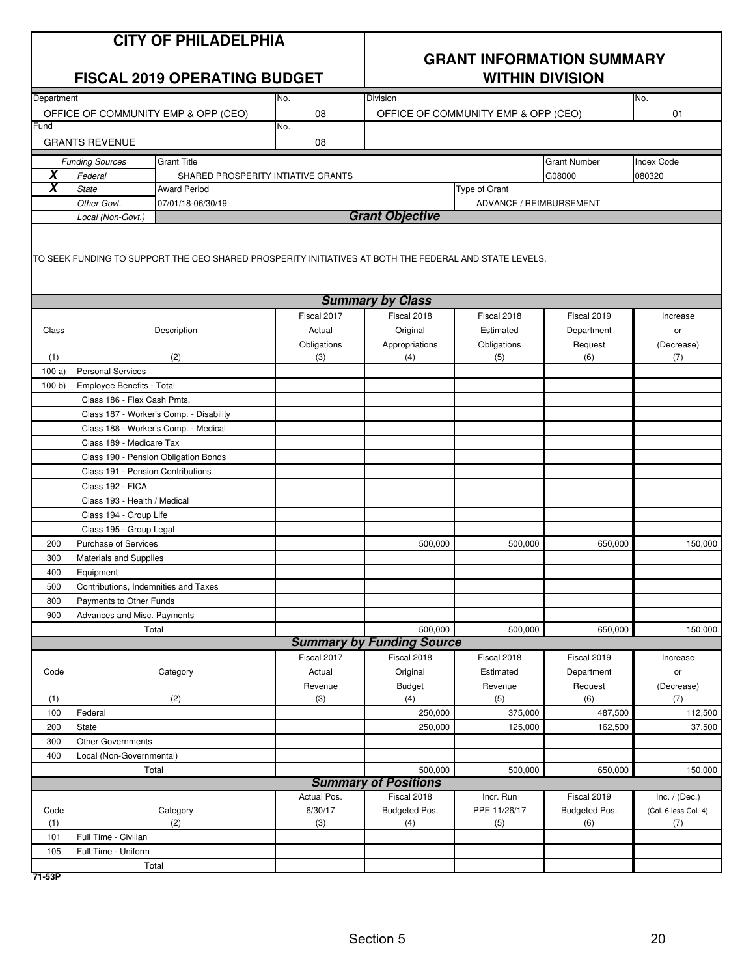|                              | <b>CITY OF PHILADELPHIA</b><br><b>FISCAL 2019 OPERATING BUDGET</b> |                                                                                                        |                       |                                  | <b>GRANT INFORMATION SUMMARY</b><br><b>WITHIN DIVISION</b> |                     |                      |  |
|------------------------------|--------------------------------------------------------------------|--------------------------------------------------------------------------------------------------------|-----------------------|----------------------------------|------------------------------------------------------------|---------------------|----------------------|--|
| Department                   |                                                                    |                                                                                                        | No.                   | Division                         |                                                            |                     | No.                  |  |
| Fund                         |                                                                    | OFFICE OF COMMUNITY EMP & OPP (CEO)                                                                    | 08                    |                                  | OFFICE OF COMMUNITY EMP & OPP (CEO)                        |                     | 01                   |  |
|                              |                                                                    |                                                                                                        | No.                   |                                  |                                                            |                     |                      |  |
|                              | <b>GRANTS REVENUE</b>                                              |                                                                                                        | 08                    |                                  |                                                            |                     |                      |  |
|                              | <b>Funding Sources</b>                                             | <b>Grant Title</b>                                                                                     |                       |                                  |                                                            | <b>Grant Number</b> | <b>Index Code</b>    |  |
| X<br>$\overline{\textsf{x}}$ | Federal                                                            | SHARED PROSPERITY INTIATIVE GRANTS                                                                     |                       |                                  |                                                            | G08000              | 080320               |  |
|                              | <b>State</b>                                                       | <b>Award Period</b>                                                                                    |                       |                                  | <b>Type of Grant</b>                                       |                     |                      |  |
|                              | Other Govt.<br>Local (Non-Govt.)                                   | 07/01/18-06/30/19                                                                                      |                       | <b>Grant Objective</b>           | ADVANCE / REIMBURSEMENT                                    |                     |                      |  |
|                              |                                                                    | TO SEEK FUNDING TO SUPPORT THE CEO SHARED PROSPERITY INITIATIVES AT BOTH THE FEDERAL AND STATE LEVELS. |                       |                                  |                                                            |                     |                      |  |
|                              |                                                                    |                                                                                                        |                       | <b>Summary by Class</b>          |                                                            |                     |                      |  |
|                              |                                                                    |                                                                                                        | Fiscal 2017           | Fiscal 2018                      | Fiscal 2018                                                | Fiscal 2019         | Increase             |  |
| Class                        |                                                                    | Description                                                                                            | Actual                | Original                         | Estimated                                                  | Department          | or                   |  |
|                              |                                                                    |                                                                                                        | Obligations<br>(3)    | Appropriations<br>(4)            | Obligations<br>(5)                                         | Request<br>(6)      | (Decrease)           |  |
| (1)<br>100a)                 | <b>Personal Services</b>                                           | (2)                                                                                                    |                       |                                  |                                                            |                     | (7)                  |  |
| 100 b                        | Employee Benefits - Total                                          |                                                                                                        |                       |                                  |                                                            |                     |                      |  |
|                              | Class 186 - Flex Cash Pmts.                                        |                                                                                                        |                       |                                  |                                                            |                     |                      |  |
|                              |                                                                    | Class 187 - Worker's Comp. - Disability                                                                |                       |                                  |                                                            |                     |                      |  |
|                              |                                                                    | Class 188 - Worker's Comp. - Medical                                                                   |                       |                                  |                                                            |                     |                      |  |
| Class 189 - Medicare Tax     |                                                                    |                                                                                                        |                       |                                  |                                                            |                     |                      |  |
|                              | Class 190 - Pension Obligation Bonds                               |                                                                                                        |                       |                                  |                                                            |                     |                      |  |
|                              | Class 191 - Pension Contributions                                  |                                                                                                        |                       |                                  |                                                            |                     |                      |  |
|                              | Class 192 - FICA                                                   |                                                                                                        |                       |                                  |                                                            |                     |                      |  |
|                              | Class 193 - Health / Medical                                       |                                                                                                        |                       |                                  |                                                            |                     |                      |  |
|                              | Class 194 - Group Life                                             |                                                                                                        |                       |                                  |                                                            |                     |                      |  |
|                              | Class 195 - Group Legal                                            |                                                                                                        |                       |                                  |                                                            |                     |                      |  |
| 200                          | Purchase of Services                                               |                                                                                                        |                       | 500,000                          | 500,000                                                    | 650,000             | 150,000              |  |
| 300                          | <b>Materials and Supplies</b>                                      |                                                                                                        |                       |                                  |                                                            |                     |                      |  |
| 400                          | Equipment                                                          |                                                                                                        |                       |                                  |                                                            |                     |                      |  |
| 500                          | Contributions, Indemnities and Taxes                               |                                                                                                        |                       |                                  |                                                            |                     |                      |  |
| 800                          | Payments to Other Funds                                            |                                                                                                        |                       |                                  |                                                            |                     |                      |  |
| 900                          | Advances and Misc. Payments                                        |                                                                                                        |                       |                                  |                                                            |                     |                      |  |
|                              |                                                                    | Total                                                                                                  |                       | 500,000                          | 500,000                                                    | 650,000             | 150,000              |  |
|                              |                                                                    |                                                                                                        |                       | <b>Summary by Funding Source</b> |                                                            |                     |                      |  |
|                              |                                                                    |                                                                                                        | Fiscal 2017<br>Actual | Fiscal 2018                      | Fiscal 2018<br>Estimated                                   | Fiscal 2019         | Increase             |  |
| Code                         |                                                                    | Category                                                                                               |                       | Original                         | Revenue                                                    | Department          | or<br>(Decrease)     |  |
| (1)                          |                                                                    | (2)                                                                                                    | Revenue<br>(3)        | Budget<br>(4)                    | (5)                                                        | Request<br>(6)      | (7)                  |  |
| 100                          | Federal                                                            |                                                                                                        |                       | 250,000                          | 375,000                                                    | 487,500             | 112,500              |  |
| 200                          | <b>State</b>                                                       |                                                                                                        |                       | 250,000                          | 125,000                                                    | 162,500             | 37,500               |  |
| 300                          | <b>Other Governments</b>                                           |                                                                                                        |                       |                                  |                                                            |                     |                      |  |
| 400                          | Local (Non-Governmental)                                           |                                                                                                        |                       |                                  |                                                            |                     |                      |  |
|                              |                                                                    | Total                                                                                                  |                       | 500,000                          | 500,000                                                    | 650,000             | 150,000              |  |
|                              |                                                                    |                                                                                                        |                       | <b>Summary of Positions</b>      |                                                            |                     |                      |  |
|                              |                                                                    |                                                                                                        | Actual Pos.           | Fiscal 2018                      | Incr. Run                                                  | Fiscal 2019         | Inc. $/$ (Dec.)      |  |
| Code                         |                                                                    | Category                                                                                               | 6/30/17               | Budgeted Pos.                    | PPE 11/26/17                                               | Budgeted Pos.       | (Col. 6 less Col. 4) |  |
| (1)                          |                                                                    | (2)                                                                                                    | (3)                   | (4)                              | (5)                                                        | (6)                 | (7)                  |  |
| 101                          | Full Time - Civilian                                               |                                                                                                        |                       |                                  |                                                            |                     |                      |  |
| 105                          | Full Time - Uniform                                                |                                                                                                        |                       |                                  |                                                            |                     |                      |  |
|                              |                                                                    | Total                                                                                                  |                       |                                  |                                                            |                     |                      |  |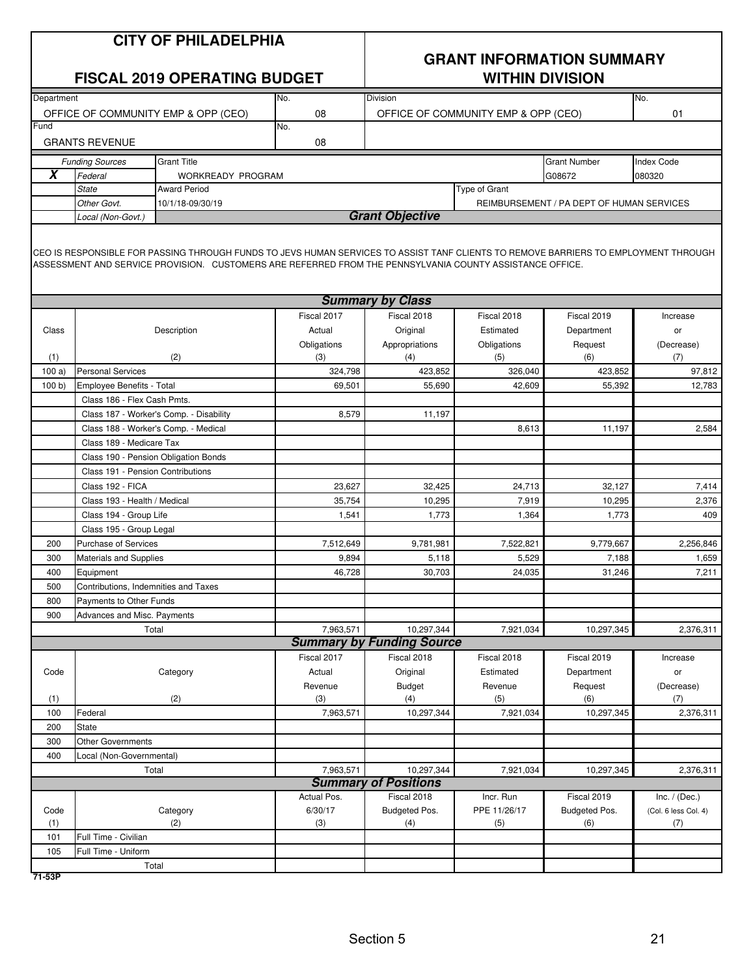|               | <b>CITY OF PHILADELPHIA</b><br><b>FISCAL 2019 OPERATING BUDGET</b> |                                                                                                                                                                                                                                                 |                | <b>GRANT INFORMATION SUMMARY</b><br><b>WITHIN DIVISION</b> |                                           |                                           |                      |  |
|---------------|--------------------------------------------------------------------|-------------------------------------------------------------------------------------------------------------------------------------------------------------------------------------------------------------------------------------------------|----------------|------------------------------------------------------------|-------------------------------------------|-------------------------------------------|----------------------|--|
| Department    |                                                                    |                                                                                                                                                                                                                                                 | No.            | <b>Division</b>                                            |                                           |                                           | No.                  |  |
| Fund          |                                                                    | OFFICE OF COMMUNITY EMP & OPP (CEO)                                                                                                                                                                                                             | 08<br>No.      |                                                            | OFFICE OF COMMUNITY EMP & OPP (CEO)<br>01 |                                           |                      |  |
|               | <b>GRANTS REVENUE</b>                                              |                                                                                                                                                                                                                                                 | 08             |                                                            |                                           |                                           |                      |  |
|               |                                                                    |                                                                                                                                                                                                                                                 |                |                                                            |                                           |                                           |                      |  |
|               | <b>Funding Sources</b>                                             | <b>Grant Title</b>                                                                                                                                                                                                                              |                |                                                            |                                           | <b>Grant Number</b>                       | <b>Index Code</b>    |  |
| X             | Federal                                                            | WORKREADY PROGRAM                                                                                                                                                                                                                               |                |                                                            |                                           | G08672                                    | 080320               |  |
|               | <b>State</b><br>Other Govt.                                        | <b>Award Period</b>                                                                                                                                                                                                                             |                |                                                            | Type of Grant                             |                                           |                      |  |
|               | Local (Non-Govt.)                                                  | 10/1/18-09/30/19                                                                                                                                                                                                                                |                | <b>Grant Objective</b>                                     |                                           | REIMBURSEMENT / PA DEPT OF HUMAN SERVICES |                      |  |
|               |                                                                    | CEO IS RESPONSIBLE FOR PASSING THROUGH FUNDS TO JEVS HUMAN SERVICES TO ASSIST TANF CLIENTS TO REMOVE BARRIERS TO EMPLOYMENT THROUGH<br>ASSESSMENT AND SERVICE PROVISION. CUSTOMERS ARE REFERRED FROM THE PENNSYLVANIA COUNTY ASSISTANCE OFFICE. |                |                                                            |                                           |                                           |                      |  |
|               |                                                                    |                                                                                                                                                                                                                                                 |                | <b>Summary by Class</b>                                    |                                           |                                           |                      |  |
|               |                                                                    |                                                                                                                                                                                                                                                 | Fiscal 2017    | Fiscal 2018                                                | Fiscal 2018                               | Fiscal 2019                               | Increase             |  |
| Class         |                                                                    | Description                                                                                                                                                                                                                                     | Actual         | Original                                                   | Estimated                                 | Department                                | or                   |  |
|               |                                                                    |                                                                                                                                                                                                                                                 | Obligations    | Appropriations                                             | Obligations                               | Request                                   | (Decrease)           |  |
| (1)           |                                                                    | (2)                                                                                                                                                                                                                                             | (3)<br>324,798 | (4)<br>423,852                                             | (5)                                       | (6)                                       | (7)<br>97,812        |  |
| 100a<br>100 b | <b>Personal Services</b><br>Employee Benefits - Total              |                                                                                                                                                                                                                                                 | 69,501         | 55,690                                                     | 326,040<br>42,609                         | 423,852<br>55,392                         | 12,783               |  |
|               | Class 186 - Flex Cash Pmts.                                        |                                                                                                                                                                                                                                                 |                |                                                            |                                           |                                           |                      |  |
|               |                                                                    | Class 187 - Worker's Comp. - Disability                                                                                                                                                                                                         | 8,579          | 11,197                                                     |                                           |                                           |                      |  |
|               |                                                                    | Class 188 - Worker's Comp. - Medical                                                                                                                                                                                                            |                |                                                            | 8,613                                     | 11,197                                    | 2,584                |  |
|               | Class 189 - Medicare Tax                                           |                                                                                                                                                                                                                                                 |                |                                                            |                                           |                                           |                      |  |
|               |                                                                    | Class 190 - Pension Obligation Bonds                                                                                                                                                                                                            |                |                                                            |                                           |                                           |                      |  |
|               | Class 191 - Pension Contributions                                  |                                                                                                                                                                                                                                                 |                |                                                            |                                           |                                           |                      |  |
|               | Class 192 - FICA                                                   |                                                                                                                                                                                                                                                 | 23,627         | 32,425                                                     | 24,713                                    | 32,127                                    | 7,414                |  |
|               | Class 193 - Health / Medical                                       |                                                                                                                                                                                                                                                 | 35,754         | 10,295                                                     | 7,919                                     | 10,295                                    | 2,376                |  |
|               | Class 194 - Group Life                                             |                                                                                                                                                                                                                                                 | 1,541          | 1,773                                                      | 1,364                                     | 1,773                                     | 409                  |  |
|               | Class 195 - Group Legal                                            |                                                                                                                                                                                                                                                 |                |                                                            |                                           |                                           |                      |  |
| 200           | <b>Purchase of Services</b>                                        |                                                                                                                                                                                                                                                 | 7,512,649      | 9,781,981                                                  | 7,522,821                                 | 9,779,667                                 | 2,256,846            |  |
| 300           | Materials and Supplies                                             |                                                                                                                                                                                                                                                 | 9,894          | 5,118                                                      | 5,529                                     | 7,188                                     | 1,659                |  |
| 400           | Equipment                                                          |                                                                                                                                                                                                                                                 | 46,728         | 30,703                                                     | 24,035                                    | 31,246                                    | 7,211                |  |
| 500           | Contributions, Indemnities and Taxes                               |                                                                                                                                                                                                                                                 |                |                                                            |                                           |                                           |                      |  |
| 800<br>900    | Payments to Other Funds<br>Advances and Misc. Payments             |                                                                                                                                                                                                                                                 |                |                                                            |                                           |                                           |                      |  |
|               |                                                                    | Total                                                                                                                                                                                                                                           | 7,963,571      | 10,297,344                                                 | 7,921,034                                 | 10,297,345                                | 2,376,311            |  |
|               |                                                                    |                                                                                                                                                                                                                                                 |                | <b>Summary by Funding Source</b>                           |                                           |                                           |                      |  |
|               |                                                                    |                                                                                                                                                                                                                                                 | Fiscal 2017    | Fiscal 2018                                                | Fiscal 2018                               | Fiscal 2019                               | Increase             |  |
| Code          |                                                                    | Category                                                                                                                                                                                                                                        | Actual         | Original                                                   | Estimated                                 | Department                                | or                   |  |
|               |                                                                    |                                                                                                                                                                                                                                                 | Revenue        | Budget                                                     | Revenue                                   | Request                                   | (Decrease)           |  |
| (1)           |                                                                    | (2)                                                                                                                                                                                                                                             | (3)            | (4)                                                        | (5)                                       | (6)                                       | (7)                  |  |
| 100           | Federal                                                            |                                                                                                                                                                                                                                                 | 7,963,571      | 10,297,344                                                 | 7,921,034                                 | 10,297,345                                | 2,376,311            |  |
| 200           | <b>State</b>                                                       |                                                                                                                                                                                                                                                 |                |                                                            |                                           |                                           |                      |  |
| 300           | <b>Other Governments</b>                                           |                                                                                                                                                                                                                                                 |                |                                                            |                                           |                                           |                      |  |
| 400           | Local (Non-Governmental)                                           |                                                                                                                                                                                                                                                 |                |                                                            |                                           |                                           |                      |  |
|               |                                                                    | Total                                                                                                                                                                                                                                           | 7,963,571      | 10,297,344<br><b>Summary of Positions</b>                  | 7,921,034                                 | 10,297,345                                | 2,376,311            |  |
|               |                                                                    |                                                                                                                                                                                                                                                 | Actual Pos.    | Fiscal 2018                                                | Incr. Run                                 | Fiscal 2019                               | Inc. $/$ (Dec.)      |  |
| Code          |                                                                    | Category                                                                                                                                                                                                                                        | 6/30/17        | Budgeted Pos.                                              | PPE 11/26/17                              | Budgeted Pos.                             | (Col. 6 less Col. 4) |  |
| (1)           |                                                                    | (2)                                                                                                                                                                                                                                             | (3)            | (4)                                                        | (5)                                       | (6)                                       | (7)                  |  |
| 101           | Full Time - Civilian                                               |                                                                                                                                                                                                                                                 |                |                                                            |                                           |                                           |                      |  |
| 105           | Full Time - Uniform                                                |                                                                                                                                                                                                                                                 |                |                                                            |                                           |                                           |                      |  |
|               |                                                                    | Total                                                                                                                                                                                                                                           |                |                                                            |                                           |                                           |                      |  |